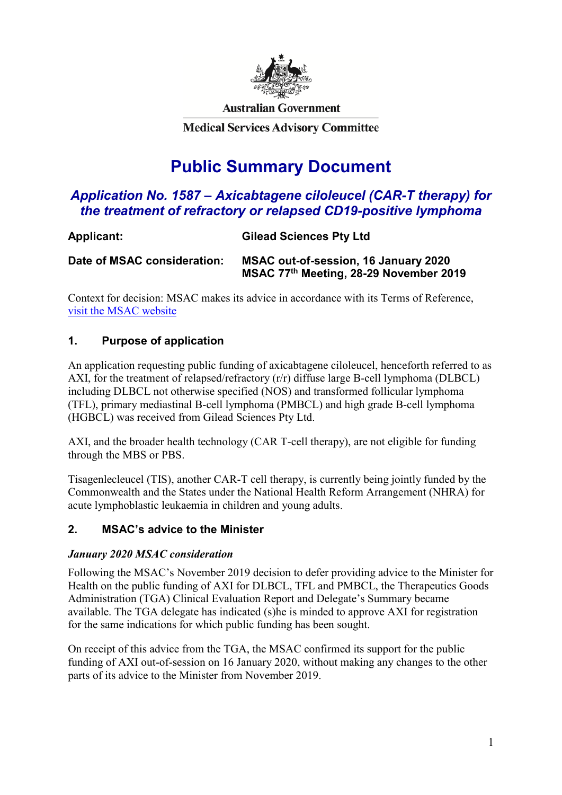

**Australian Government** 

**Medical Services Advisory Committee** 

# **Public Summary Document**

# *Application No. 1587 – Axicabtagene ciloleucel (CAR-T therapy) for the treatment of refractory or relapsed CD19-positive lymphoma*

| , wpilomin                  |                                                                                |
|-----------------------------|--------------------------------------------------------------------------------|
| Date of MSAC consideration: | MSAC out-of-session, 16 January 2020<br>MSAC 77th Meeting, 28-29 November 2019 |

**Applicant: Gilead Sciences Pty Ltd**

Context for decision: MSAC makes its advice in accordance with its Terms of Reference, [visit the MSAC website](http://www.msac.gov.au/)

# **1. Purpose of application**

An application requesting public funding of axicabtagene ciloleucel, henceforth referred to as AXI, for the treatment of relapsed/refractory (r/r) diffuse large B-cell lymphoma (DLBCL) including DLBCL not otherwise specified (NOS) and transformed follicular lymphoma (TFL), primary mediastinal B-cell lymphoma (PMBCL) and high grade B-cell lymphoma (HGBCL) was received from Gilead Sciences Pty Ltd.

AXI, and the broader health technology (CAR T-cell therapy), are not eligible for funding through the MBS or PBS.

Tisagenlecleucel (TIS), another CAR-T cell therapy, is currently being jointly funded by the Commonwealth and the States under the National Health Reform Arrangement (NHRA) for acute lymphoblastic leukaemia in children and young adults.

# **2. MSAC's advice to the Minister**

# *January 2020 MSAC consideration*

Following the MSAC's November 2019 decision to defer providing advice to the Minister for Health on the public funding of AXI for DLBCL, TFL and PMBCL, the Therapeutics Goods Administration (TGA) Clinical Evaluation Report and Delegate's Summary became available. The TGA delegate has indicated (s)he is minded to approve AXI for registration for the same indications for which public funding has been sought.

On receipt of this advice from the TGA, the MSAC confirmed its support for the public funding of AXI out-of-session on 16 January 2020, without making any changes to the other parts of its advice to the Minister from November 2019.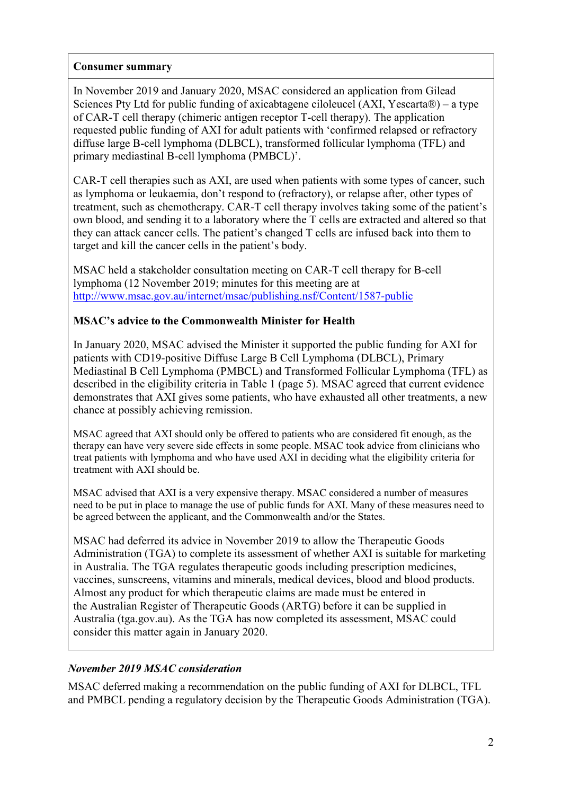### **Consumer summary**

In November 2019 and January 2020, MSAC considered an application from Gilead Sciences Pty Ltd for public funding of axicabtagene ciloleucel (AXI, Yescarta®) – a type of CAR-T cell therapy (chimeric antigen receptor T-cell therapy). The application requested public funding of AXI for adult patients with 'confirmed relapsed or refractory diffuse large B-cell lymphoma (DLBCL), transformed follicular lymphoma (TFL) and primary mediastinal B-cell lymphoma (PMBCL)'.

CAR-T cell therapies such as AXI, are used when patients with some types of cancer, such as lymphoma or leukaemia, don't respond to (refractory), or relapse after, other types of treatment, such as chemotherapy. CAR-T cell therapy involves taking some of the patient's own blood, and sending it to a laboratory where the T cells are extracted and altered so that they can attack cancer cells. The patient's changed T cells are infused back into them to target and kill the cancer cells in the patient's body.

MSAC held a stakeholder consultation meeting on CAR-T cell therapy for B-cell lymphoma (12 November 2019; minutes for this meeting are at <http://www.msac.gov.au/internet/msac/publishing.nsf/Content/1587-public>

### **MSAC's advice to the Commonwealth Minister for Health**

In January 2020, MSAC advised the Minister it supported the public funding for AXI for patients with CD19-positive Diffuse Large B Cell Lymphoma (DLBCL), Primary Mediastinal B Cell Lymphoma (PMBCL) and Transformed Follicular Lymphoma (TFL) as described in the eligibility criteria in Table 1 (page 5). MSAC agreed that current evidence demonstrates that AXI gives some patients, who have exhausted all other treatments, a new chance at possibly achieving remission.

MSAC agreed that AXI should only be offered to patients who are considered fit enough, as the therapy can have very severe side effects in some people. MSAC took advice from clinicians who treat patients with lymphoma and who have used AXI in deciding what the eligibility criteria for treatment with AXI should be.

MSAC advised that AXI is a very expensive therapy. MSAC considered a number of measures need to be put in place to manage the use of public funds for AXI. Many of these measures need to be agreed between the applicant, and the Commonwealth and/or the States.

MSAC had deferred its advice in November 2019 to allow the Therapeutic Goods Administration (TGA) to complete its assessment of whether AXI is suitable for marketing in Australia. The TGA regulates therapeutic goods including prescription medicines, vaccines, sunscreens, vitamins and minerals, medical devices, blood and blood products. Almost any product for which therapeutic claims are made must be entered in the [Australian Register of Therapeutic Goods \(ARTG\)](https://www.tga.gov.au/australian-register-therapeutic-goods) before it can be supplied in Australia (tga.gov.au). As the TGA has now completed its assessment, MSAC could consider this matter again in January 2020.

# *November 2019 MSAC consideration*

MSAC deferred making a recommendation on the public funding of AXI for DLBCL, TFL and PMBCL pending a regulatory decision by the Therapeutic Goods Administration (TGA).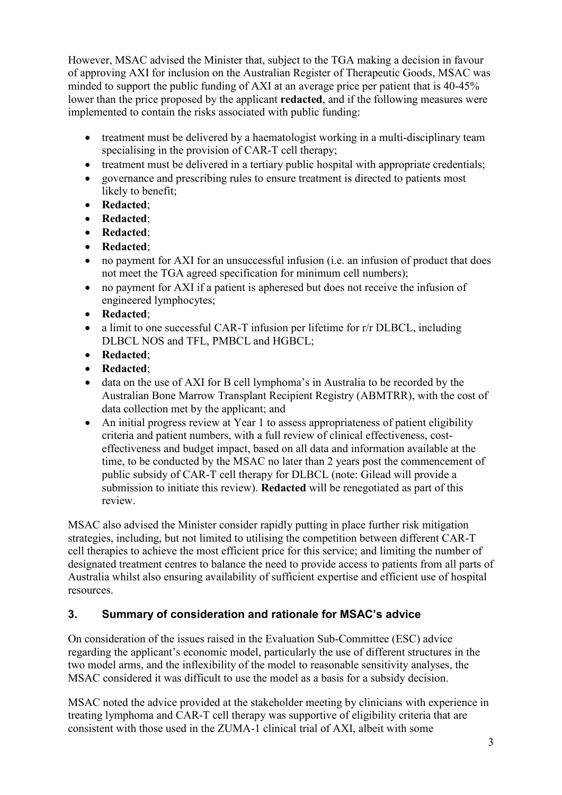However, MSAC advised the Minister that, subject to the TGA making a decision in favour of approving AXI for inclusion on the Australian Register of Therapeutic Goods, MSAC was minded to support the public funding of AXI at an average price per patient that is 40-45% lower than the price proposed by the applicant **redacted**, and if the following measures were implemented to contain the risks associated with public funding:

- treatment must be delivered by a haematologist working in a multi-disciplinary team specialising in the provision of CAR-T cell therapy;
- treatment must be delivered in a tertiary public hospital with appropriate credentials;
- governance and prescribing rules to ensure treatment is directed to patients most likely to benefit;
- **Redacted**;
- **Redacted**;
- **Redacted**;
- **Redacted**;
- no payment for AXI for an unsuccessful infusion (i.e. an infusion of product that does not meet the TGA agreed specification for minimum cell numbers);
- no payment for AXI if a patient is apheresed but does not receive the infusion of engineered lymphocytes;
- **Redacted**;
- a limit to one successful CAR-T infusion per lifetime for r/r DLBCL, including DLBCL NOS and TFL, PMBCL and HGBCL;
- **Redacted**;
- **Redacted**;
- data on the use of AXI for B cell lymphoma's in Australia to be recorded by the Australian Bone Marrow Transplant Recipient Registry (ABMTRR), with the cost of data collection met by the applicant; and
- An initial progress review at Year 1 to assess appropriateness of patient eligibility criteria and patient numbers, with a full review of clinical effectiveness, costeffectiveness and budget impact, based on all data and information available at the time, to be conducted by the MSAC no later than 2 years post the commencement of public subsidy of CAR-T cell therapy for DLBCL (note: Gilead will provide a submission to initiate this review). **Redacted** will be renegotiated as part of this review.

MSAC also advised the Minister consider rapidly putting in place further risk mitigation strategies, including, but not limited to utilising the competition between different CAR-T cell therapies to achieve the most efficient price for this service; and limiting the number of designated treatment centres to balance the need to provide access to patients from all parts of Australia whilst also ensuring availability of sufficient expertise and efficient use of hospital resources.

# **3. Summary of consideration and rationale for MSAC's advice**

On consideration of the issues raised in the Evaluation Sub-Committee (ESC) advice regarding the applicant's economic model, particularly the use of different structures in the two model arms, and the inflexibility of the model to reasonable sensitivity analyses, the MSAC considered it was difficult to use the model as a basis for a subsidy decision.

MSAC noted the advice provided at the stakeholder meeting by clinicians with experience in treating lymphoma and CAR-T cell therapy was supportive of eligibility criteria that are consistent with those used in the ZUMA-1 clinical trial of AXI, albeit with some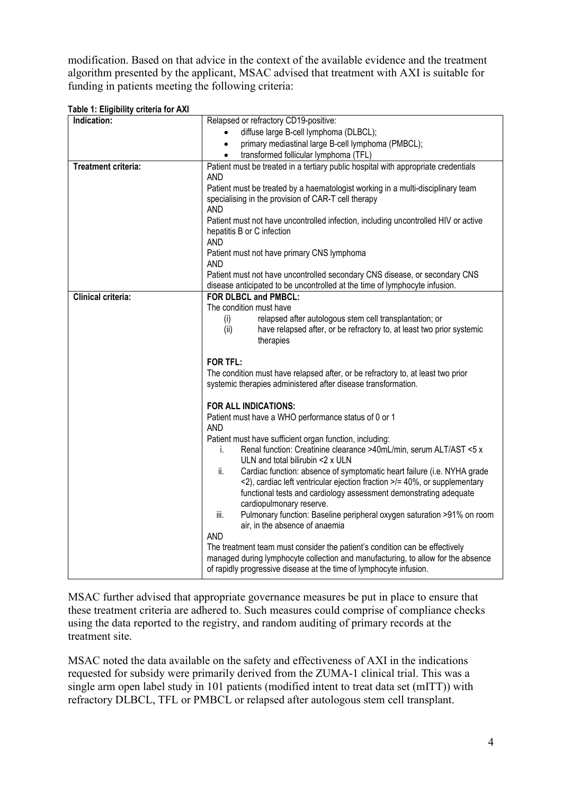modification. Based on that advice in the context of the available evidence and the treatment algorithm presented by the applicant, MSAC advised that treatment with AXI is suitable for funding in patients meeting the following criteria:

| Indication:                | Relapsed or refractory CD19-positive:                                                                                                                    |
|----------------------------|----------------------------------------------------------------------------------------------------------------------------------------------------------|
|                            | diffuse large B-cell lymphoma (DLBCL);                                                                                                                   |
|                            | primary mediastinal large B-cell lymphoma (PMBCL);<br>$\bullet$                                                                                          |
|                            | transformed follicular lymphoma (TFL)                                                                                                                    |
| <b>Treatment criteria:</b> | Patient must be treated in a tertiary public hospital with appropriate credentials                                                                       |
|                            | <b>AND</b>                                                                                                                                               |
|                            | Patient must be treated by a haematologist working in a multi-disciplinary team                                                                          |
|                            | specialising in the provision of CAR-T cell therapy<br><b>AND</b>                                                                                        |
|                            | Patient must not have uncontrolled infection, including uncontrolled HIV or active                                                                       |
|                            | hepatitis B or C infection                                                                                                                               |
|                            | <b>AND</b>                                                                                                                                               |
|                            | Patient must not have primary CNS lymphoma                                                                                                               |
|                            | <b>AND</b>                                                                                                                                               |
|                            | Patient must not have uncontrolled secondary CNS disease, or secondary CNS<br>disease anticipated to be uncontrolled at the time of lymphocyte infusion. |
| <b>Clinical criteria:</b>  | FOR DLBCL and PMBCL:                                                                                                                                     |
|                            | The condition must have                                                                                                                                  |
|                            | relapsed after autologous stem cell transplantation; or<br>(i)                                                                                           |
|                            | have relapsed after, or be refractory to, at least two prior systemic<br>(ii)                                                                            |
|                            | therapies                                                                                                                                                |
|                            | <b>FOR TFL:</b>                                                                                                                                          |
|                            | The condition must have relapsed after, or be refractory to, at least two prior                                                                          |
|                            | systemic therapies administered after disease transformation.                                                                                            |
|                            | FOR ALL INDICATIONS:                                                                                                                                     |
|                            | Patient must have a WHO performance status of 0 or 1                                                                                                     |
|                            | <b>AND</b>                                                                                                                                               |
|                            | Patient must have sufficient organ function, including:                                                                                                  |
|                            | Renal function: Creatinine clearance >40mL/min, serum ALT/AST <5 x<br>i.<br>ULN and total bilirubin <2 x ULN                                             |
|                            | Cardiac function: absence of symptomatic heart failure (i.e. NYHA grade<br>ii.                                                                           |
|                            | <2), cardiac left ventricular ejection fraction >/= 40%, or supplementary                                                                                |
|                            | functional tests and cardiology assessment demonstrating adequate                                                                                        |
|                            | cardiopulmonary reserve.                                                                                                                                 |
|                            | Pulmonary function: Baseline peripheral oxygen saturation >91% on room<br>iii.<br>air, in the absence of anaemia                                         |
|                            | <b>AND</b>                                                                                                                                               |
|                            | The treatment team must consider the patient's condition can be effectively                                                                              |
|                            | managed during lymphocyte collection and manufacturing, to allow for the absence                                                                         |
|                            | of rapidly progressive disease at the time of lymphocyte infusion.                                                                                       |

**Table 1: Eligibility criteria for AXI**

MSAC further advised that appropriate governance measures be put in place to ensure that these treatment criteria are adhered to. Such measures could comprise of compliance checks using the data reported to the registry, and random auditing of primary records at the treatment site.

MSAC noted the data available on the safety and effectiveness of AXI in the indications requested for subsidy were primarily derived from the ZUMA-1 clinical trial. This was a single arm open label study in 101 patients (modified intent to treat data set (mITT)) with refractory DLBCL, TFL or PMBCL or relapsed after autologous stem cell transplant.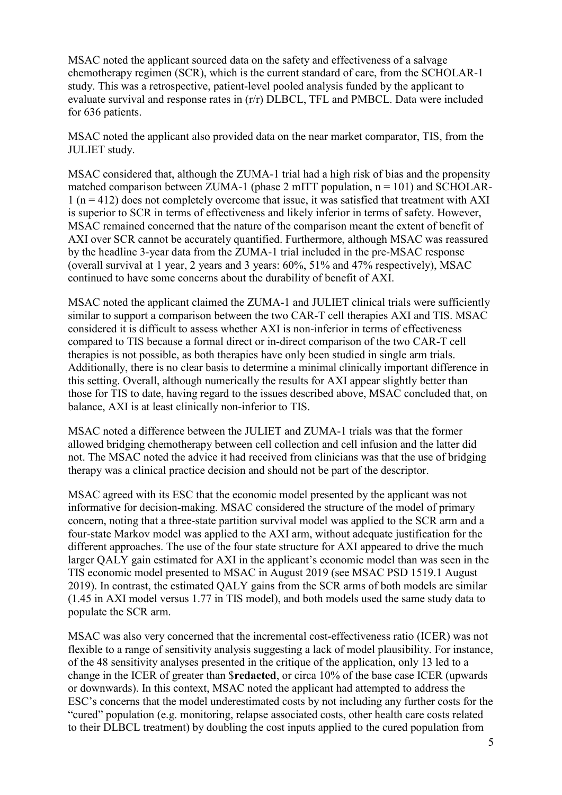MSAC noted the applicant sourced data on the safety and effectiveness of a salvage chemotherapy regimen (SCR), which is the current standard of care, from the SCHOLAR-1 study. This was a retrospective, patient-level pooled analysis funded by the applicant to evaluate survival and response rates in (r/r) DLBCL, TFL and PMBCL. Data were included for 636 patients.

MSAC noted the applicant also provided data on the near market comparator, TIS, from the JULIET study.

MSAC considered that, although the ZUMA-1 trial had a high risk of bias and the propensity matched comparison between ZUMA-1 (phase 2 mITT population,  $n = 101$ ) and SCHOLAR- $1$  (n = 412) does not completely overcome that issue, it was satisfied that treatment with AXI is superior to SCR in terms of effectiveness and likely inferior in terms of safety. However, MSAC remained concerned that the nature of the comparison meant the extent of benefit of AXI over SCR cannot be accurately quantified. Furthermore, although MSAC was reassured by the headline 3-year data from the ZUMA-1 trial included in the pre-MSAC response (overall survival at 1 year, 2 years and 3 years: 60%, 51% and 47% respectively), MSAC continued to have some concerns about the durability of benefit of AXI.

MSAC noted the applicant claimed the ZUMA-1 and JULIET clinical trials were sufficiently similar to support a comparison between the two CAR-T cell therapies AXI and TIS. MSAC considered it is difficult to assess whether AXI is non-inferior in terms of effectiveness compared to TIS because a formal direct or in-direct comparison of the two CAR-T cell therapies is not possible, as both therapies have only been studied in single arm trials. Additionally, there is no clear basis to determine a minimal clinically important difference in this setting. Overall, although numerically the results for AXI appear slightly better than those for TIS to date, having regard to the issues described above, MSAC concluded that, on balance, AXI is at least clinically non-inferior to TIS.

MSAC noted a difference between the JULIET and ZUMA-1 trials was that the former allowed bridging chemotherapy between cell collection and cell infusion and the latter did not. The MSAC noted the advice it had received from clinicians was that the use of bridging therapy was a clinical practice decision and should not be part of the descriptor.

MSAC agreed with its ESC that the economic model presented by the applicant was not informative for decision-making. MSAC considered the structure of the model of primary concern, noting that a three-state partition survival model was applied to the SCR arm and a four-state Markov model was applied to the AXI arm, without adequate justification for the different approaches. The use of the four state structure for AXI appeared to drive the much larger QALY gain estimated for AXI in the applicant's economic model than was seen in the TIS economic model presented to MSAC in August 2019 (see MSAC PSD 1519.1 August 2019). In contrast, the estimated QALY gains from the SCR arms of both models are similar (1.45 in AXI model versus 1.77 in TIS model), and both models used the same study data to populate the SCR arm.

MSAC was also very concerned that the incremental cost-effectiveness ratio (ICER) was not flexible to a range of sensitivity analysis suggesting a lack of model plausibility. For instance, of the 48 sensitivity analyses presented in the critique of the application, only 13 led to a change in the ICER of greater than \$**redacted**, or circa 10% of the base case ICER (upwards or downwards). In this context, MSAC noted the applicant had attempted to address the ESC's concerns that the model underestimated costs by not including any further costs for the "cured" population (e.g. monitoring, relapse associated costs, other health care costs related to their DLBCL treatment) by doubling the cost inputs applied to the cured population from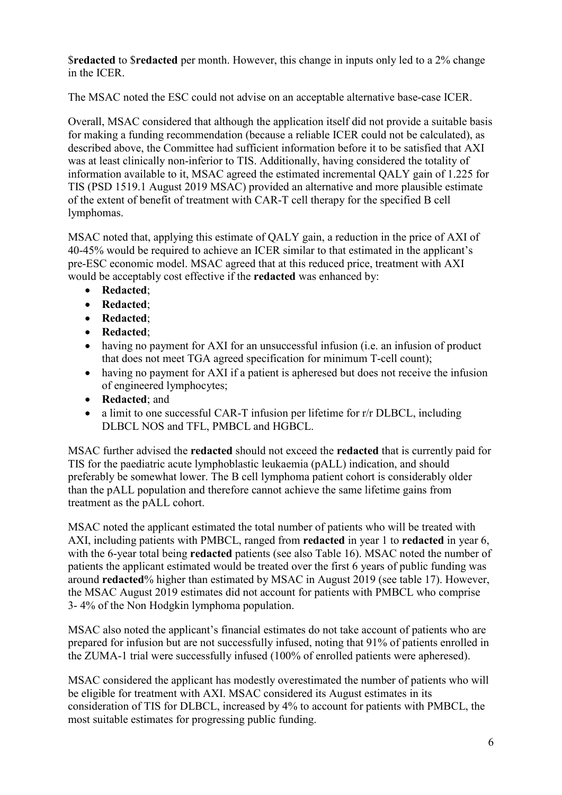\$**redacted** to \$**redacted** per month. However, this change in inputs only led to a 2% change in the ICER.

The MSAC noted the ESC could not advise on an acceptable alternative base-case ICER.

Overall, MSAC considered that although the application itself did not provide a suitable basis for making a funding recommendation (because a reliable ICER could not be calculated), as described above, the Committee had sufficient information before it to be satisfied that AXI was at least clinically non-inferior to TIS. Additionally, having considered the totality of information available to it, MSAC agreed the estimated incremental QALY gain of 1.225 for TIS (PSD 1519.1 August 2019 MSAC) provided an alternative and more plausible estimate of the extent of benefit of treatment with CAR-T cell therapy for the specified B cell lymphomas.

MSAC noted that, applying this estimate of QALY gain, a reduction in the price of AXI of 40-45% would be required to achieve an ICER similar to that estimated in the applicant's pre-ESC economic model. MSAC agreed that at this reduced price, treatment with AXI would be acceptably cost effective if the **redacted** was enhanced by:

- **Redacted**;
- **Redacted**;
- **Redacted**;
- **Redacted**;
- having no payment for AXI for an unsuccessful infusion (i.e. an infusion of product that does not meet TGA agreed specification for minimum T-cell count);
- having no payment for AXI if a patient is apheresed but does not receive the infusion of engineered lymphocytes;
- **Redacted**; and
- a limit to one successful CAR-T infusion per lifetime for r/r DLBCL, including DLBCL NOS and TFL, PMBCL and HGBCL.

MSAC further advised the **redacted** should not exceed the **redacted** that is currently paid for TIS for the paediatric acute lymphoblastic leukaemia (pALL) indication, and should preferably be somewhat lower. The B cell lymphoma patient cohort is considerably older than the pALL population and therefore cannot achieve the same lifetime gains from treatment as the pALL cohort.

MSAC noted the applicant estimated the total number of patients who will be treated with AXI, including patients with PMBCL, ranged from **redacted** in year 1 to **redacted** in year 6, with the 6-year total being **redacted** patients (see also Table 16). MSAC noted the number of patients the applicant estimated would be treated over the first 6 years of public funding was around **redacted**% higher than estimated by MSAC in August 2019 (see table 17). However, the MSAC August 2019 estimates did not account for patients with PMBCL who comprise 3- 4% of the Non Hodgkin lymphoma population.

MSAC also noted the applicant's financial estimates do not take account of patients who are prepared for infusion but are not successfully infused, noting that 91% of patients enrolled in the ZUMA-1 trial were successfully infused (100% of enrolled patients were apheresed).

MSAC considered the applicant has modestly overestimated the number of patients who will be eligible for treatment with AXI. MSAC considered its August estimates in its consideration of TIS for DLBCL, increased by 4% to account for patients with PMBCL, the most suitable estimates for progressing public funding.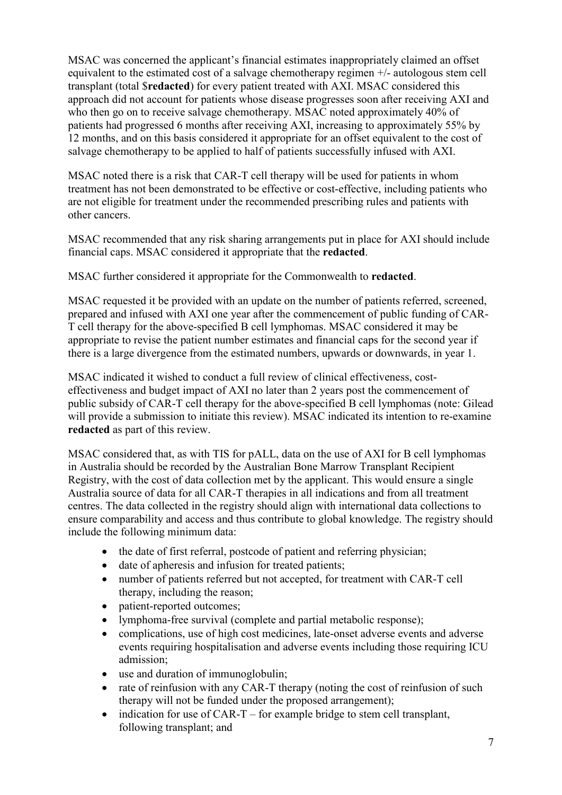MSAC was concerned the applicant's financial estimates inappropriately claimed an offset equivalent to the estimated cost of a salvage chemotherapy regimen +/- autologous stem cell transplant (total \$**redacted**) for every patient treated with AXI. MSAC considered this approach did not account for patients whose disease progresses soon after receiving AXI and who then go on to receive salvage chemotherapy. MSAC noted approximately 40% of patients had progressed 6 months after receiving AXI, increasing to approximately 55% by 12 months, and on this basis considered it appropriate for an offset equivalent to the cost of salvage chemotherapy to be applied to half of patients successfully infused with AXI.

MSAC noted there is a risk that CAR-T cell therapy will be used for patients in whom treatment has not been demonstrated to be effective or cost-effective, including patients who are not eligible for treatment under the recommended prescribing rules and patients with other cancers.

MSAC recommended that any risk sharing arrangements put in place for AXI should include financial caps. MSAC considered it appropriate that the **redacted**.

MSAC further considered it appropriate for the Commonwealth to **redacted**.

MSAC requested it be provided with an update on the number of patients referred, screened, prepared and infused with AXI one year after the commencement of public funding of CAR-T cell therapy for the above-specified B cell lymphomas. MSAC considered it may be appropriate to revise the patient number estimates and financial caps for the second year if there is a large divergence from the estimated numbers, upwards or downwards, in year 1.

MSAC indicated it wished to conduct a full review of clinical effectiveness, costeffectiveness and budget impact of AXI no later than 2 years post the commencement of public subsidy of CAR-T cell therapy for the above-specified B cell lymphomas (note: Gilead will provide a submission to initiate this review). MSAC indicated its intention to re-examine **redacted** as part of this review.

MSAC considered that, as with TIS for pALL, data on the use of AXI for B cell lymphomas in Australia should be recorded by the Australian Bone Marrow Transplant Recipient Registry, with the cost of data collection met by the applicant. This would ensure a single Australia source of data for all CAR-T therapies in all indications and from all treatment centres. The data collected in the registry should align with international data collections to ensure comparability and access and thus contribute to global knowledge. The registry should include the following minimum data:

- the date of first referral, postcode of patient and referring physician;
- date of apheresis and infusion for treated patients;
- number of patients referred but not accepted, for treatment with CAR-T cell therapy, including the reason;
- patient-reported outcomes:
- lymphoma-free survival (complete and partial metabolic response);
- complications, use of high cost medicines, late-onset adverse events and adverse events requiring hospitalisation and adverse events including those requiring ICU admission;
- use and duration of immunoglobulin;
- rate of reinfusion with any CAR-T therapy (noting the cost of reinfusion of such therapy will not be funded under the proposed arrangement);
- indication for use of  $CAR-T$  for example bridge to stem cell transplant, following transplant; and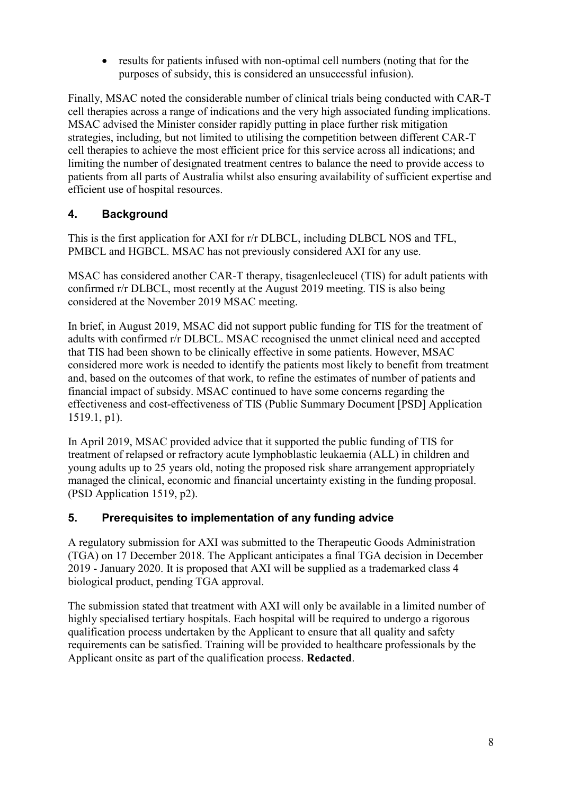• results for patients infused with non-optimal cell numbers (noting that for the purposes of subsidy, this is considered an unsuccessful infusion).

Finally, MSAC noted the considerable number of clinical trials being conducted with CAR-T cell therapies across a range of indications and the very high associated funding implications. MSAC advised the Minister consider rapidly putting in place further risk mitigation strategies, including, but not limited to utilising the competition between different CAR-T cell therapies to achieve the most efficient price for this service across all indications; and limiting the number of designated treatment centres to balance the need to provide access to patients from all parts of Australia whilst also ensuring availability of sufficient expertise and efficient use of hospital resources.

# **4. Background**

This is the first application for AXI for r/r DLBCL, including DLBCL NOS and TFL, PMBCL and HGBCL. MSAC has not previously considered AXI for any use.

MSAC has considered another CAR-T therapy, tisagenlecleucel (TIS) for adult patients with confirmed r/r DLBCL, most recently at the August 2019 meeting. TIS is also being considered at the November 2019 MSAC meeting.

In brief, in August 2019, MSAC did not support public funding for TIS for the treatment of adults with confirmed r/r DLBCL. MSAC recognised the unmet clinical need and accepted that TIS had been shown to be clinically effective in some patients. However, MSAC considered more work is needed to identify the patients most likely to benefit from treatment and, based on the outcomes of that work, to refine the estimates of number of patients and financial impact of subsidy. MSAC continued to have some concerns regarding the effectiveness and cost-effectiveness of TIS (Public Summary Document [PSD] Application 1519.1, p1).

In April 2019, MSAC provided advice that it supported the public funding of TIS for treatment of relapsed or refractory acute lymphoblastic leukaemia (ALL) in children and young adults up to 25 years old, noting the proposed risk share arrangement appropriately managed the clinical, economic and financial uncertainty existing in the funding proposal. (PSD Application 1519, p2).

# **5. Prerequisites to implementation of any funding advice**

A regulatory submission for AXI was submitted to the Therapeutic Goods Administration (TGA) on 17 December 2018. The Applicant anticipates a final TGA decision in December 2019 - January 2020. It is proposed that AXI will be supplied as a trademarked class 4 biological product, pending TGA approval.

The submission stated that treatment with AXI will only be available in a limited number of highly specialised tertiary hospitals. Each hospital will be required to undergo a rigorous qualification process undertaken by the Applicant to ensure that all quality and safety requirements can be satisfied. Training will be provided to healthcare professionals by the Applicant onsite as part of the qualification process. **Redacted**.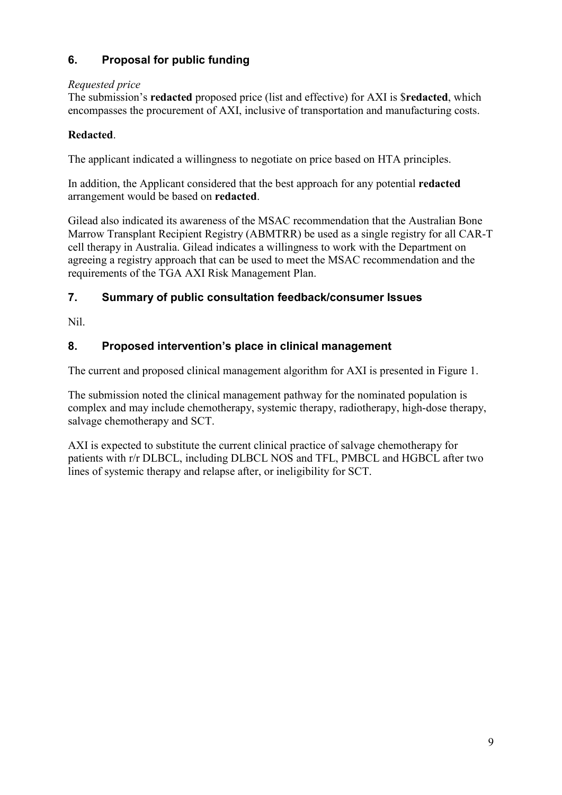# **6. Proposal for public funding**

# *Requested price*

The submission's **redacted** proposed price (list and effective) for AXI is \$**redacted**, which encompasses the procurement of AXI, inclusive of transportation and manufacturing costs.

### **Redacted**.

The applicant indicated a willingness to negotiate on price based on HTA principles.

In addition, the Applicant considered that the best approach for any potential **redacted** arrangement would be based on **redacted**.

Gilead also indicated its awareness of the MSAC recommendation that the Australian Bone Marrow Transplant Recipient Registry (ABMTRR) be used as a single registry for all CAR-T cell therapy in Australia. Gilead indicates a willingness to work with the Department on agreeing a registry approach that can be used to meet the MSAC recommendation and the requirements of the TGA AXI Risk Management Plan.

# **7. Summary of public consultation feedback/consumer Issues**

Nil.

# **8. Proposed intervention's place in clinical management**

The current and proposed clinical management algorithm for AXI is presented in Figure 1.

The submission noted the clinical management pathway for the nominated population is complex and may include chemotherapy, systemic therapy, radiotherapy, high-dose therapy, salvage chemotherapy and SCT.

AXI is expected to substitute the current clinical practice of salvage chemotherapy for patients with r/r DLBCL, including DLBCL NOS and TFL, PMBCL and HGBCL after two lines of systemic therapy and relapse after, or ineligibility for SCT.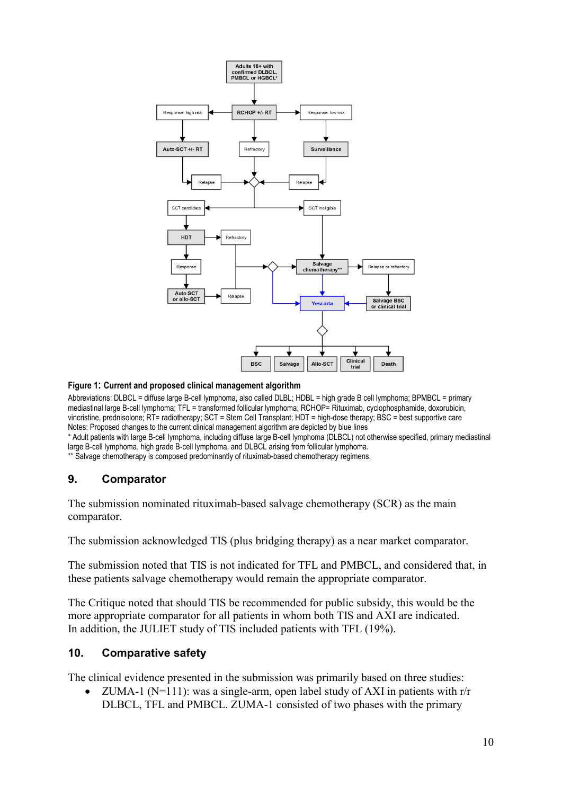

#### **Figure 1: Current and proposed clinical management algorithm**

Abbreviations: DLBCL = diffuse large B-cell lymphoma, also called DLBL; HDBL = high grade B cell lymphoma; BPMBCL = primary mediastinal large B-cell lymphoma; TFL = transformed follicular lymphoma; RCHOP= Rituximab, cyclophosphamide, doxorubicin, vincristine, prednisolone; RT= radiotherapy; SCT = Stem Cell Transplant; HDT = high-dose therapy; BSC = best supportive care Notes: Proposed changes to the current clinical management algorithm are depicted by blue lines

\* Adult patients with large B-cell lymphoma, including diffuse large B-cell lymphoma (DLBCL) not otherwise specified, primary mediastinal large B-cell lymphoma, high grade B-cell lymphoma, and DLBCL arising from follicular lymphoma.

\*\* Salvage chemotherapy is composed predominantly of rituximab-based chemotherapy regimens.

#### **9. Comparator**

The submission nominated rituximab-based salvage chemotherapy (SCR) as the main comparator.

The submission acknowledged TIS (plus bridging therapy) as a near market comparator.

The submission noted that TIS is not indicated for TFL and PMBCL, and considered that, in these patients salvage chemotherapy would remain the appropriate comparator.

The Critique noted that should TIS be recommended for public subsidy, this would be the more appropriate comparator for all patients in whom both TIS and AXI are indicated. In addition, the JULIET study of TIS included patients with TFL (19%).

#### **10. Comparative safety**

The clinical evidence presented in the submission was primarily based on three studies:

ZUMA-1 ( $N=111$ ): was a single-arm, open label study of AXI in patients with r/r DLBCL, TFL and PMBCL. ZUMA-1 consisted of two phases with the primary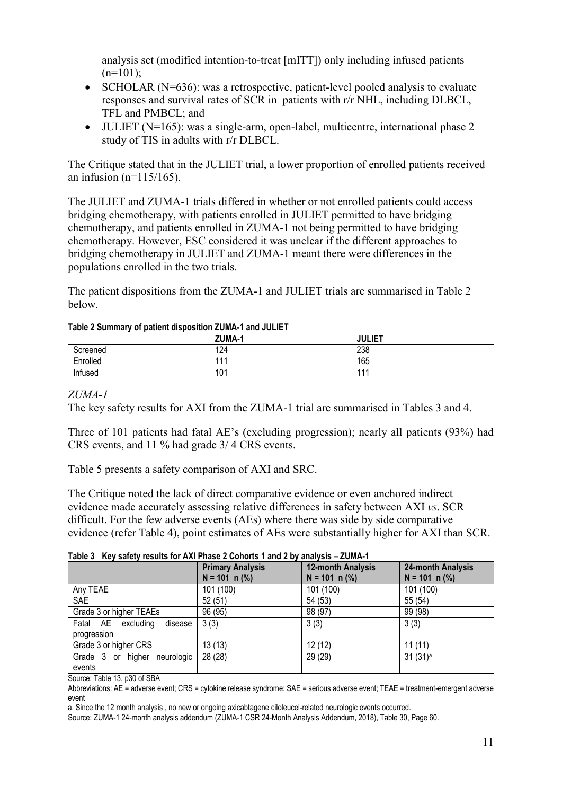analysis set (modified intention-to-treat [mITT]) only including infused patients  $(n=101);$ 

- SCHOLAR (N=636): was a retrospective, patient-level pooled analysis to evaluate responses and survival rates of SCR in patients with r/r NHL, including DLBCL, TFL and PMBCL; and
- JULIET ( $N=165$ ): was a single-arm, open-label, multicentre, international phase 2 study of TIS in adults with r/r DLBCL.

The Critique stated that in the JULIET trial, a lower proportion of enrolled patients received an infusion ( $n=115/165$ ).

The JULIET and ZUMA-1 trials differed in whether or not enrolled patients could access bridging chemotherapy, with patients enrolled in JULIET permitted to have bridging chemotherapy, and patients enrolled in ZUMA-1 not being permitted to have bridging chemotherapy. However, ESC considered it was unclear if the different approaches to bridging chemotherapy in JULIET and ZUMA-1 meant there were differences in the populations enrolled in the two trials.

The patient dispositions from the ZUMA-1 and JULIET trials are summarised in Table 2 below.

|          | ZUMA-1 | <b>JULIET</b> |
|----------|--------|---------------|
| Screened | 124    | 238           |
| Enrolled | 444    | 165           |
| Infused  | 101    | 444           |

#### **Table 2 Summary of patient disposition ZUMA-1 and JULIET**

#### *ZUMA-1*

The key safety results for AXI from the ZUMA-1 trial are summarised in Tables 3 and 4.

Three of 101 patients had fatal AE's (excluding progression); nearly all patients (93%) had CRS events, and 11 % had grade 3/ 4 CRS events.

Table 5 presents a safety comparison of AXI and SRC.

The Critique noted the lack of direct comparative evidence or even anchored indirect evidence made accurately assessing relative differences in safety between AXI *vs*. SCR difficult. For the few adverse events (AEs) where there was side by side comparative evidence (refer Table 4), point estimates of AEs were substantially higher for AXI than SCR.

**Table 3 Key safety results for AXI Phase 2 Cohorts 1 and 2 by analysis – ZUMA-1**

|                                              | <b>Primary Analysis</b><br>$N = 101$ n (%) | <b>12-month Analysis</b><br>$N = 101$ n (%) | 24-month Analysis<br>$N = 101$ n $(\%)$ |  |
|----------------------------------------------|--------------------------------------------|---------------------------------------------|-----------------------------------------|--|
| Any TEAE                                     | 101 (100)                                  | 101 (100)                                   | 101 (100)                               |  |
| SAE                                          | 52(51)                                     | 54 (53)                                     | 55 (54)                                 |  |
| Grade 3 or higher TEAEs                      | 96 (95)                                    | 98 (97)                                     | 99 (98)                                 |  |
| Fatal AE excluding<br>disease<br>progression | 3(3)                                       | 3(3)                                        | 3(3)                                    |  |
| Grade 3 or higher CRS                        | 13(13)                                     | 12(12)                                      | 11(11)                                  |  |
| Grade 3 or higher<br>neurologic<br>events    | 28 (28)                                    | 29 (29)                                     | 31(31) <sup>a</sup>                     |  |

Source: Table 13, p30 of SBA

Abbreviations: AE = adverse event; CRS = cytokine release syndrome; SAE = serious adverse event; TEAE = treatment-emergent adverse event

a. Since the 12 month analysis , no new or ongoing axicabtagene ciloleucel-related neurologic events occurred.

Source: ZUMA-1 24-month analysis addendum (ZUMA-1 CSR 24-Month Analysis Addendum, 2018), Table 30, Page 60.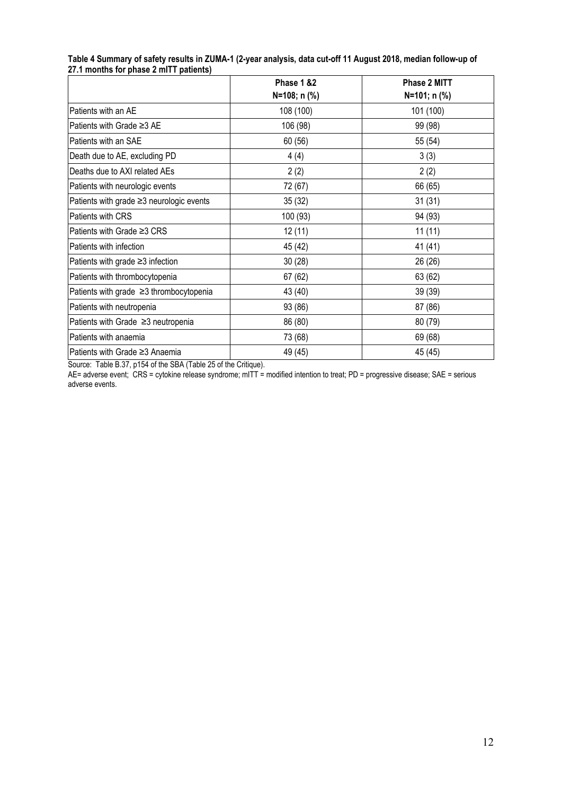|                                          | Phase 1 &2<br>N=108; n (%) | Phase 2 MITT<br>N=101; n (%) |
|------------------------------------------|----------------------------|------------------------------|
| Patients with an AE                      | 108 (100)                  | 101 (100)                    |
| Patients with Grade ≥3 AE                | 106 (98)                   | 99 (98)                      |
| Patients with an SAE                     | 60 (56)                    | 55 (54)                      |
| Death due to AE, excluding PD            | 4(4)                       | 3(3)                         |
| Deaths due to AXI related AEs            | 2(2)                       | 2(2)                         |
| Patients with neurologic events          | 72 (67)                    | 66 (65)                      |
| Patients with grade ≥3 neurologic events | 35(32)                     | 31(31)                       |
| Patients with CRS                        | 100 (93)                   | 94 (93)                      |
| Patients with Grade ≥3 CRS               | 12(11)                     | 11(11)                       |
| Patients with infection                  | 45 (42)                    | 41 (41)                      |
| Patients with grade ≥3 infection         | 30(28)                     | 26 (26)                      |
| Patients with thrombocytopenia           | 67(62)                     | 63 (62)                      |
| Patients with grade ≥3 thrombocytopenia  | 43 (40)                    | 39 (39)                      |
| Patients with neutropenia                | 93 (86)                    | 87 (86)                      |
| Patients with Grade ≥3 neutropenia       | 86 (80)                    | 80 (79)                      |
| Patients with anaemia                    | 73 (68)                    | 69 (68)                      |
| Patients with Grade ≥3 Anaemia           | 49 (45)                    | 45 (45)                      |

**Table 4 Summary of safety results in ZUMA-1 (2-year analysis, data cut-off 11 August 2018, median follow-up of 27.1 months for phase 2 mITT patients)**

Source: Table B.37, p154 of the SBA (Table 25 of the Critique).

AE= adverse event; CRS = cytokine release syndrome; mITT = modified intention to treat; PD = progressive disease; SAE = serious adverse events.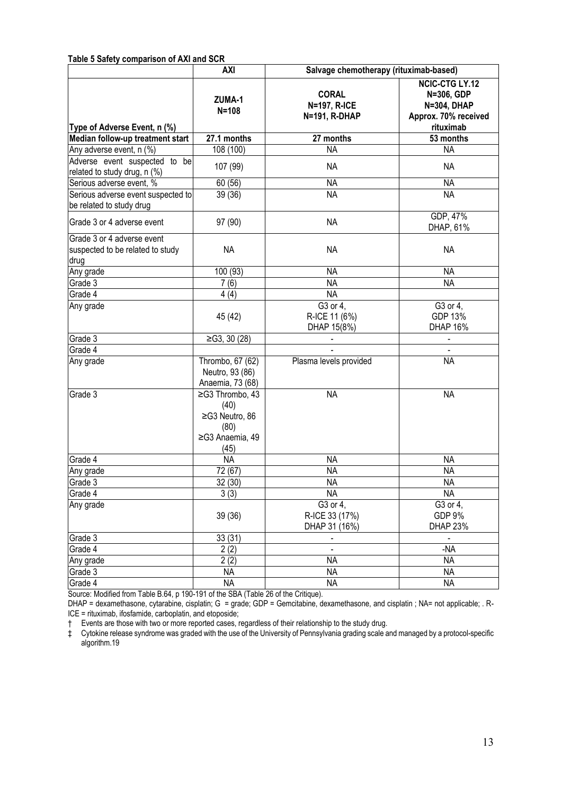#### **Table 5 Safety comparison of AXI and SCR**

|                                                                        | <b>AXI</b>                                                                   | Salvage chemotherapy (rituximab-based)                |                                                                                                |  |
|------------------------------------------------------------------------|------------------------------------------------------------------------------|-------------------------------------------------------|------------------------------------------------------------------------------------------------|--|
| Type of Adverse Event, n (%)                                           | ZUMA-1<br>$N = 108$                                                          | <b>CORAL</b><br>N=197, R-ICE<br>N=191, R-DHAP         | <b>NCIC-CTG LY.12</b><br>N=306, GDP<br><b>N=304, DHAP</b><br>Approx. 70% received<br>rituximab |  |
| Median follow-up treatment start                                       | 27.1 months                                                                  | 27 months                                             | 53 months                                                                                      |  |
| Any adverse event, n (%)                                               | 108 (100)                                                                    | <b>NA</b>                                             | <b>NA</b>                                                                                      |  |
| Adverse event suspected to be<br>related to study drug, n (%)          | 107 (99)                                                                     | NA                                                    | NA                                                                                             |  |
| Serious adverse event, %                                               | 60 (56)                                                                      | <b>NA</b>                                             | <b>NA</b>                                                                                      |  |
| Serious adverse event suspected to<br>be related to study drug         | 39(36)                                                                       | <b>NA</b>                                             | <b>NA</b>                                                                                      |  |
| Grade 3 or 4 adverse event                                             | 97 (90)                                                                      | <b>NA</b>                                             | GDP, 47%<br>DHAP, 61%                                                                          |  |
| Grade 3 or 4 adverse event<br>suspected to be related to study<br>drug | <b>NA</b>                                                                    | <b>NA</b>                                             | <b>NA</b>                                                                                      |  |
| Any grade                                                              | $\overline{100}$ (93)                                                        | <b>NA</b>                                             | <b>NA</b>                                                                                      |  |
| Grade 3                                                                | 7(6)                                                                         | <b>NA</b>                                             | <b>NA</b>                                                                                      |  |
| Grade 4                                                                | 4(4)                                                                         | <b>NA</b>                                             |                                                                                                |  |
| Any grade                                                              | 45 (42)                                                                      | $\overline{G3}$ or 4,<br>R-ICE 11 (6%)<br>DHAP 15(8%) | G3 or 4,<br>GDP 13%<br><b>DHAP 16%</b>                                                         |  |
| Grade 3                                                                | ≥G3, 30(28)                                                                  |                                                       |                                                                                                |  |
| Grade 4                                                                |                                                                              |                                                       |                                                                                                |  |
| Any grade                                                              | Thrombo, 67 (62)<br>Neutro, 93 (86)<br>Anaemia, 73 (68)                      | Plasma levels provided                                | <b>NA</b>                                                                                      |  |
| Grade $3$                                                              | ≥G3 Thrombo, 43<br>(40)<br>≥G3 Neutro, 86<br>(80)<br>≥G3 Anaemia, 49<br>(45) | <b>NA</b>                                             | <b>NA</b>                                                                                      |  |
| Grade 4                                                                | <b>NA</b>                                                                    | <b>NA</b>                                             | <b>NA</b>                                                                                      |  |
| Any grade                                                              | 72 (67)                                                                      | <b>NA</b>                                             | <b>NA</b>                                                                                      |  |
| Grade 3                                                                | 32 (30)                                                                      | <b>NA</b>                                             | <b>NA</b>                                                                                      |  |
| Grade 4                                                                | 3(3)                                                                         | <b>NA</b>                                             | <b>NA</b>                                                                                      |  |
| Any grade                                                              | 39(36)                                                                       | G3 or 4,<br>R-ICE 33 (17%)<br>DHAP 31 (16%)           | G3 or 4,<br><b>GDP 9%</b><br><b>DHAP 23%</b>                                                   |  |
| Grade 3                                                                | 33(31)                                                                       |                                                       | $\blacksquare$                                                                                 |  |
| Grade 4                                                                | $\overline{2(2)}$                                                            |                                                       | $-NA$                                                                                          |  |
| Any grade                                                              | 2(2)                                                                         | <b>NA</b>                                             | <b>NA</b>                                                                                      |  |
| Grade 3                                                                | <b>NA</b>                                                                    | <b>NA</b>                                             | <b>NA</b>                                                                                      |  |
| Grade 4                                                                | <b>NA</b>                                                                    | <b>NA</b>                                             | <b>NA</b>                                                                                      |  |

Source: Modified from Table B.64, p 190-191 of the SBA (Table 26 of the Critique).

DHAP = dexamethasone, cytarabine, cisplatin; G = grade; GDP = Gemcitabine, dexamethasone, and cisplatin ; NA= not applicable; . R-ICE = rituximab, ifosfamide, carboplatin, and etoposide;

† Events are those with two or more reported cases, regardless of their relationship to the study drug.

‡ Cytokine release syndrome was graded with the use of the University of Pennsylvania grading scale and managed by a protocol-specific algorithm.19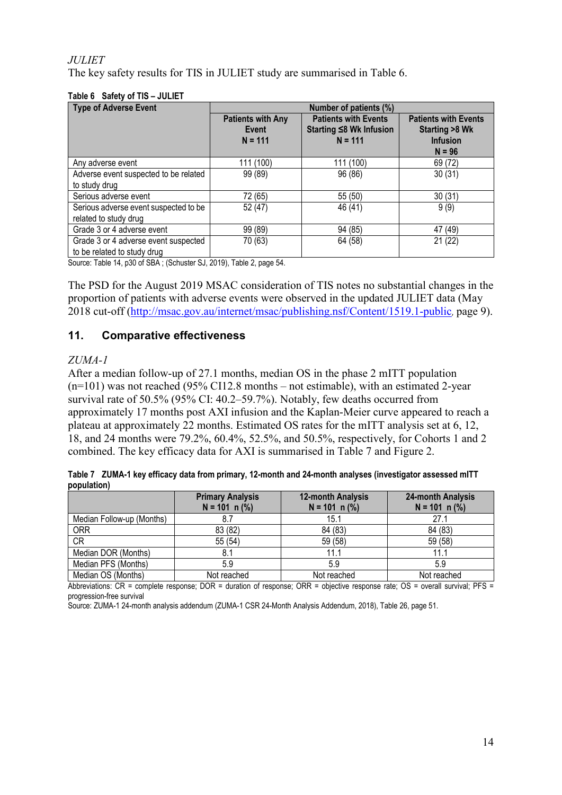### *JULIET*

The key safety results for TIS in JULIET study are summarised in Table 6.

| <b>Type of Adverse Event</b>                                                                   | Number of patients (%)                         |                                                                     |                                                                              |
|------------------------------------------------------------------------------------------------|------------------------------------------------|---------------------------------------------------------------------|------------------------------------------------------------------------------|
|                                                                                                | <b>Patients with Any</b><br>Event<br>$N = 111$ | <b>Patients with Events</b><br>Starting ≤8 Wk Infusion<br>$N = 111$ | <b>Patients with Events</b><br>Starting >8 Wk<br><b>Infusion</b><br>$N = 96$ |
| Any adverse event                                                                              | 111 (100)                                      | 111 (100)                                                           | 69 (72)                                                                      |
| Adverse event suspected to be related                                                          | 99 (89)                                        | 96 (86)                                                             | 30(31)                                                                       |
| to study drug                                                                                  |                                                |                                                                     |                                                                              |
| Serious adverse event                                                                          | 72 (65)                                        | 55 (50)                                                             | 30(31)                                                                       |
| Serious adverse event suspected to be                                                          | 52 (47)                                        | 46 (41)                                                             | 9(9)                                                                         |
| related to study drug                                                                          |                                                |                                                                     |                                                                              |
| Grade 3 or 4 adverse event                                                                     | 99 (89)                                        | 94 (85)                                                             | 47 (49)                                                                      |
| Grade 3 or 4 adverse event suspected                                                           | 70 (63)                                        | 64 (58)                                                             | 21(22)                                                                       |
| to be related to study drug                                                                    |                                                |                                                                     |                                                                              |
| $O_{\text{current}}$ , Table 11, and af CDA ; $O_{\text{chustan}}$ CJ, 0010). Table 0, same EA |                                                |                                                                     |                                                                              |

#### **Table 6 Safety of TIS – JULIET**

Source: Table 14, p30 of SBA ; (Schuster SJ, 2019), Table 2, page 54.

The PSD for the August 2019 MSAC consideration of TIS notes no substantial changes in the proportion of patients with adverse events were observed in the updated JULIET data (May 2018 cut-off [\(http://msac.gov.au/internet/msac/publishing.nsf/Content/1519.1-public](http://msac.gov.au/internet/msac/publishing.nsf/Content/1519.1-public), page 9).

### **11. Comparative effectiveness**

#### *ZUMA-1*

After a median follow-up of 27.1 months, median OS in the phase 2 mITT population (n=101) was not reached (95% CI12.8 months – not estimable), with an estimated 2-year survival rate of 50.5% (95% CI: 40.2–59.7%). Notably, few deaths occurred from approximately 17 months post AXI infusion and the Kaplan-Meier curve appeared to reach a plateau at approximately 22 months. Estimated OS rates for the mITT analysis set at 6, 12, 18, and 24 months were 79.2%, 60.4%, 52.5%, and 50.5%, respectively, for Cohorts 1 and 2 combined. The key efficacy data for AXI is summarised in Table 7 and Figure 2.

|             | Table 7 ZUMA-1 key efficacy data from primary, 12-month and 24-month analyses (investigator assessed mITT |  |  |  |
|-------------|-----------------------------------------------------------------------------------------------------------|--|--|--|
| population) |                                                                                                           |  |  |  |

|                           | <b>Primary Analysis</b> | <b>12-month Analysis</b> | 24-month Analysis |
|---------------------------|-------------------------|--------------------------|-------------------|
|                           | $N = 101$ n (%)         | $N = 101$ n (%)          | $N = 101$ n (%)   |
| Median Follow-up (Months) | 8.7                     | 15.1                     | 27.1              |
| <b>ORR</b>                | 83 (82)                 | 84 (83)                  | 84 (83)           |
| CR                        | 55 (54)                 | 59 (58)                  | 59 (58)           |
| Median DOR (Months)       | 8.1                     | 11.1                     |                   |
| Median PFS (Months)       | 5.9                     | 5.9                      | 5.9               |
| Median OS (Months)        | Not reached             | Not reached              | Not reached       |

Abbreviations:  $CR =$  complete response;  $DOR =$  duration of response;  $OR =$  objective response rate;  $OS =$  overall survival; PFS = progression-free survival

Source: ZUMA-1 24-month analysis addendum (ZUMA-1 CSR 24-Month Analysis Addendum, 2018), Table 26, page 51.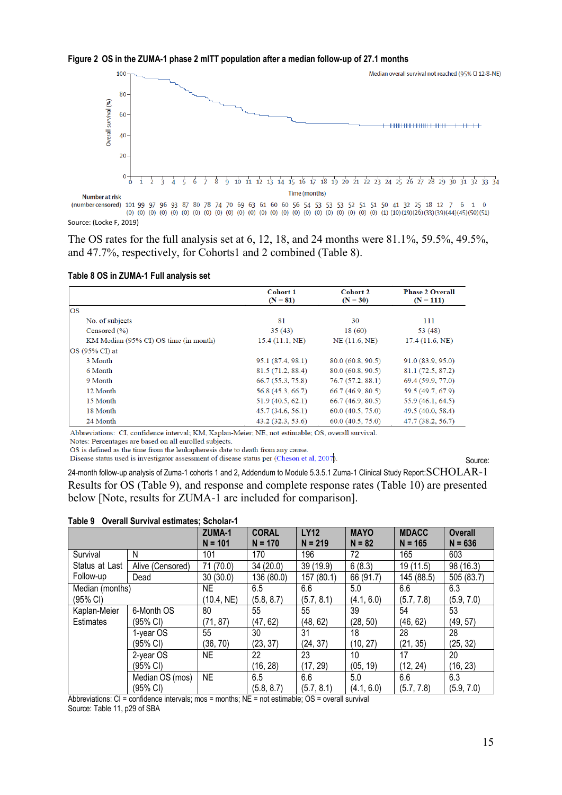



(number censored) 101 99 97 96 93 87 80 78 74 70 69 63 61 60 60 56 54 53 53 53 52 51 51 50 41 32 25 18 12 7 6 1 0 Source: (Locke F, 2019)

The OS rates for the full analysis set at 6, 12, 18, and 24 months were 81.1%, 59.5%, 49.5%, and 47.7%, respectively, for Cohorts1 and 2 combined (Table 8).

|                                       | <b>Cohort 1</b><br>$(N = 81)$ | <b>Cohort 2</b><br>$(N = 30)$ | <b>Phase 2 Overall</b><br>$(N = 111)$ |
|---------------------------------------|-------------------------------|-------------------------------|---------------------------------------|
| <b>OS</b>                             |                               |                               |                                       |
| No. of subjects                       | 81                            | 30                            | 111                                   |
| Censored $(\% )$                      | 35(43)                        | 18(60)                        | 53(48)                                |
| KM Median (95% CI) OS time (in month) | 15.4(11.1, NE)                | NE(11.6, NE)                  | 17.4(11.6, NE)                        |
| $OS(95\% CI)$ at                      |                               |                               |                                       |
| 3 Month                               | 95.1 (87.4, 98.1)             | 80.0(60.8, 90.5)              | 91.0 (83.9, 95.0)                     |
| 6 Month                               | 81.5(71.2, 88.4)              | 80.0(60.8, 90.5)              | 81.1 (72.5, 87.2)                     |
| 9 Month                               | 66.7(55.3, 75.8)              | 76.7(57.2, 88.1)              | 69.4 (59.9, 77.0)                     |
| 12 Month                              | 56.8 (45.3, 66.7)             | 66.7(46.9, 80.5)              | 59.5 (49.7, 67.9)                     |
| 15 Month                              | 51.9(40.5, 62.1)              | 66.7(46.9, 80.5)              | 55.9(46.1, 64.5)                      |
| 18 Month                              | 45.7(34.6, 56.1)              | 60.0 (40.5, 75.0)             | 49.5(40.0, 58.4)                      |
| 24 Month                              | 43.2(32.3, 53.6)              | 60.0(40.5, 75.0)              | 47.7(38.2, 56.7)                      |

**Table 8 OS in ZUMA-1 Full analysis set**

Abbreviations: CI, confidence interval: KM, Kaplan-Meier; NE, not estimable; OS, overall survival.

Notes: Percentages are based on all enrolled subjects.

OS is defined as the time from the leukapheresis date to death from any cause. Disease status used is investigator assessment of disease status per (Cheson et al, 2007).

Source:

24-month follow-up analysis of Zuma-1 cohorts 1 and 2, Addendum to Module 5.3.5.1 Zuma-1 Clinical Study Report: SCHOLAR-1 Results for OS (Table 9), and response and complete response rates (Table 10) are presented below [Note, results for ZUMA-1 are included for comparison].

|  | Table 9 Overall Survival estimates; Scholar-1 |
|--|-----------------------------------------------|
|--|-----------------------------------------------|

|                  |                  | ZUMA-1     | <b>CORAL</b> | <b>LY12</b> | <b>MAYO</b> | <b>MDACC</b> | <b>Overall</b> |
|------------------|------------------|------------|--------------|-------------|-------------|--------------|----------------|
|                  |                  | $N = 101$  | $N = 170$    | $N = 219$   | $N = 82$    | $N = 165$    | $N = 636$      |
| Survival         | Ν                | 101        | 170          | 196         | 72          | 165          | 603            |
| Status at Last   | Alive (Censored) | 71 (70.0)  | 34 (20.0)    | 39 (19.9)   | 6(8.3)      | 19 (11.5)    | 98 (16.3)      |
| Follow-up        | Dead             | 30(30.0)   | 136 (80.0)   | 157 (80.1)  | 66 (91.7)   | 145 (88.5)   | 505 (83.7)     |
| Median (months)  |                  | NE         | 6.5          | 6.6         | 5.0         | 6.6          | 6.3            |
| (95% CI)         |                  | (10.4, NE) | (5.8, 8.7)   | (5.7, 8.1)  | (4.1, 6.0)  | (5.7, 7.8)   | (5.9, 7.0)     |
| Kaplan-Meier     | 6-Month OS       | 80         | 55           | 55          | 39          | 54           | 53             |
| <b>Estimates</b> | (95% CI)         | (71, 87)   | (47, 62)     | (48, 62)    | (28, 50)    | (46, 62)     | (49, 57)       |
|                  | 1-year OS        | 55         | 30           | 31          | 18          | 28           | 28             |
|                  | (95% CI)         | (36, 70)   | (23, 37)     | (24, 37)    | (10, 27)    | (21, 35)     | (25, 32)       |
|                  | 2-year OS        | NE         | 22           | 23          | 10          | 17           | 20             |
|                  | (95% CI)         |            | (16, 28)     | (17, 29)    | (05, 19)    | (12, 24)     | (16, 23)       |
|                  | Median OS (mos)  | <b>NE</b>  | 6.5          | 6.6         | 5.0         | 6.6          | 6.3            |
|                  | (95% CI)         |            | (5.8, 8.7)   | (5.7, 8.1)  | (4.1, 6.0)  | (5.7, 7.8)   | (5.9, 7.0)     |

Abbreviations:  $CI =$  confidence intervals; mos = months;  $NE =$  not estimable;  $OS =$  overall survival Source: Table 11, p29 of SBA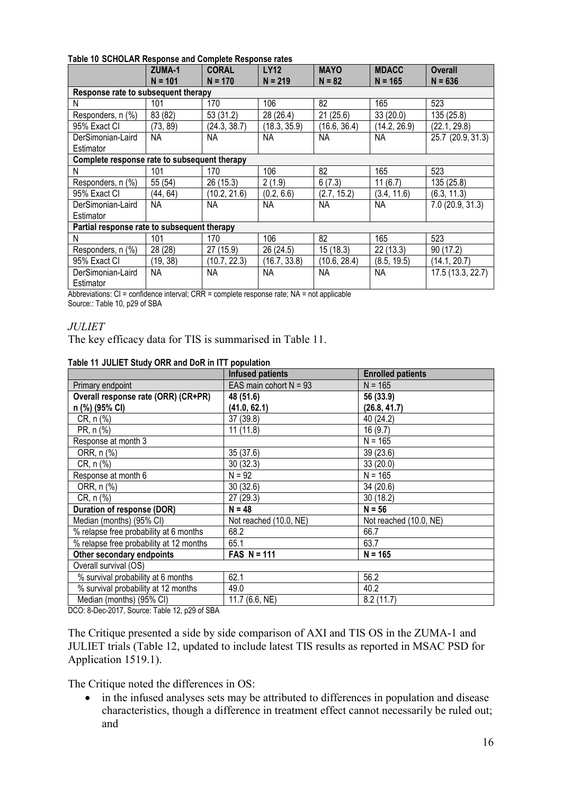#### **Table 10 SCHOLAR Response and Complete Response rates**

|                                              | ZUMA-1<br>$N = 101$ | <b>CORAL</b><br>$N = 170$ | <b>LY12</b><br>$N = 219$ | <b>MAYO</b><br>$N = 82$ | <b>MDACC</b><br>$N = 165$ | <b>Overall</b><br>$N = 636$ |
|----------------------------------------------|---------------------|---------------------------|--------------------------|-------------------------|---------------------------|-----------------------------|
| Response rate to subsequent therapy          |                     |                           |                          |                         |                           |                             |
| N                                            | 101                 | 170                       | 106                      | 82                      | 165                       | 523                         |
| Responders, n (%)                            | 83 (82)             | 53 (31.2)                 | 28 (26.4)                | 21(25.6)                | 33 (20.0)                 | 135 (25.8)                  |
| 95% Exact CI                                 | (73, 89)            | (24.3, 38.7)              | (18.3, 35.9)             | (16.6, 36.4)            | (14.2, 26.9)              | (22.1, 29.8)                |
| DerSimonian-Laird                            | NA                  | <b>NA</b>                 | <b>NA</b>                | <b>NA</b>               | <b>NA</b>                 | 25.7 (20.9, 31.3)           |
| Estimator                                    |                     |                           |                          |                         |                           |                             |
| Complete response rate to subsequent therapy |                     |                           |                          |                         |                           |                             |
| N                                            | 101                 | 170                       | 106                      | 82                      | 165                       | 523                         |
| Responders, n (%)                            | 55 (54)             | 26 (15.3)                 | 2(1.9)                   | 6(7.3)                  | 11(6.7)                   | 135 (25.8)                  |
| 95% Exact CI                                 | (44, 64)            | (10.2, 21.6)              | (0.2, 6.6)               | (2.7, 15.2)             | (3.4, 11.6)               | (6.3, 11.3)                 |
| DerSimonian-Laird                            | NA                  | <b>NA</b>                 | <b>NA</b>                | <b>NA</b>               | <b>NA</b>                 | 7.0 (20.9, 31.3)            |
| Estimator                                    |                     |                           |                          |                         |                           |                             |
| Partial response rate to subsequent therapy  |                     |                           |                          |                         |                           |                             |
| N                                            | 101                 | 170                       | 106                      | 82                      | 165                       | 523                         |
| Responders, n (%)                            | 28 (28)             | 27 (15.9)                 | 26 (24.5)                | 15(18.3)                | 22(13.3)                  | 90 (17.2)                   |
| 95% Exact CI                                 | (19, 38)            | (10.7, 22.3)              | (16.7, 33.8)             | (10.6, 28.4)            | (8.5, 19.5)               | (14.1, 20.7)                |
| DerSimonian-Laird                            | NА                  | <b>NA</b>                 | <b>NA</b>                | <b>NA</b>               | <b>NA</b>                 | 17.5 (13.3, 22.7)           |
| Estimator                                    |                     |                           |                          |                         |                           |                             |

Abbreviations: CI = confidence interval; CRR = complete response rate; NA = not applicable

Source:: Table 10, p29 of SBA

#### *JULIET*

The key efficacy data for TIS is summarised in Table 11.

#### **Table 11 JULIET Study ORR and DoR in ITT population**

|                                         | <b>Infused patients</b>  | <b>Enrolled patients</b> |
|-----------------------------------------|--------------------------|--------------------------|
| Primary endpoint                        | EAS main cohort $N = 93$ | $N = 165$                |
| Overall response rate (ORR) (CR+PR)     | 48 (51.6)                | 56 (33.9)                |
| n (%) (95% CI)                          | (41.0, 62.1)             | (26.8, 41.7)             |
| CR, n (%)                               | 37 (39.8)                | 40 (24.2)                |
| PR, n (%)                               | 11(11.8)                 | 16(9.7)                  |
| Response at month 3                     |                          | $N = 165$                |
| ORR, n (%)                              | 35(37.6)                 | 39 (23.6)                |
| CR, n (%)                               | 30(32.3)                 | 33 (20.0)                |
| Response at month 6                     | $N = 92$                 | $N = 165$                |
| ORR, n (%)                              | 30(32.6)                 | 34 (20.6)                |
| CR, n (%)                               | 27 (29.3)                | 30(18.2)                 |
| Duration of response (DOR)              | $N = 48$                 | $N = 56$                 |
| Median (months) (95% CI)                | Not reached (10.0, NE)   | Not reached (10.0, NE)   |
| % relapse free probability at 6 months  | 68.2                     | 66.7                     |
| % relapse free probability at 12 months | 65.1                     | 63.7                     |
| Other secondary endpoints               | $FAS N = 111$            | $N = 165$                |
| Overall survival (OS)                   |                          |                          |
| % survival probability at 6 months      | 62.1                     | 56.2                     |
| % survival probability at 12 months     | 49.0                     | 40.2                     |
| Median (months) (95% CI)                | 11.7 (6.6, NE)           | 8.2(11.7)                |

DCO: 8-Dec-2017, Source: Table 12, p29 of SBA

The Critique presented a side by side comparison of AXI and TIS OS in the ZUMA-1 and JULIET trials (Table 12, updated to include latest TIS results as reported in MSAC PSD for Application 1519.1).

The Critique noted the differences in OS:

• in the infused analyses sets may be attributed to differences in population and disease characteristics, though a difference in treatment effect cannot necessarily be ruled out; and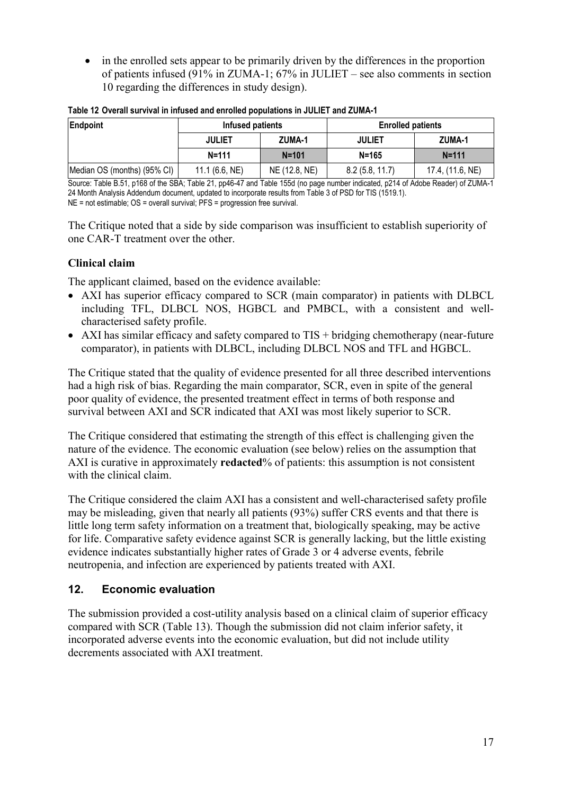• in the enrolled sets appear to be primarily driven by the differences in the proportion of patients infused (91% in ZUMA-1; 67% in JULIET – see also comments in section 10 regarding the differences in study design).

| Endpoint                    | Infused patients |               | <b>Enrolled patients</b> |                  |  |
|-----------------------------|------------------|---------------|--------------------------|------------------|--|
|                             | <b>JULIET</b>    | ZUMA-1        | <b>JULIET</b>            | ZUMA-1           |  |
|                             | $N = 111$        | $N = 101$     | $N = 165$                | $N = 111$        |  |
| Median OS (months) (95% CI) | 11.1 (6.6, NE)   | NE (12.8, NE) | 8.2(5.8, 11.7)           | 17.4, (11.6, NE) |  |

|  | Table 12 Overall survival in infused and enrolled populations in JULIET and ZUMA-1 |  |  |  |  |
|--|------------------------------------------------------------------------------------|--|--|--|--|
|  |                                                                                    |  |  |  |  |

Source: Table B.51, p168 of the SBA; Table 21, pp46-47 and Table 155d (no page number indicated, p214 of Adobe Reader) of ZUMA-1 24 Month Analysis Addendum document, updated to incorporate results from Table 3 of PSD for TIS (1519.1). NE = not estimable; OS = overall survival; PFS = progression free survival.

The Critique noted that a side by side comparison was insufficient to establish superiority of one CAR-T treatment over the other.

# **Clinical claim**

The applicant claimed, based on the evidence available:

- AXI has superior efficacy compared to SCR (main comparator) in patients with DLBCL including TFL, DLBCL NOS, HGBCL and PMBCL, with a consistent and wellcharacterised safety profile.
- AXI has similar efficacy and safety compared to TIS + bridging chemotherapy (near-future comparator), in patients with DLBCL, including DLBCL NOS and TFL and HGBCL.

The Critique stated that the quality of evidence presented for all three described interventions had a high risk of bias. Regarding the main comparator, SCR, even in spite of the general poor quality of evidence, the presented treatment effect in terms of both response and survival between AXI and SCR indicated that AXI was most likely superior to SCR.

The Critique considered that estimating the strength of this effect is challenging given the nature of the evidence. The economic evaluation (see below) relies on the assumption that AXI is curative in approximately **redacted**% of patients: this assumption is not consistent with the clinical claim.

The Critique considered the claim AXI has a consistent and well-characterised safety profile may be misleading, given that nearly all patients (93%) suffer CRS events and that there is little long term safety information on a treatment that, biologically speaking, may be active for life. Comparative safety evidence against SCR is generally lacking, but the little existing evidence indicates substantially higher rates of Grade 3 or 4 adverse events, febrile neutropenia, and infection are experienced by patients treated with AXI.

# **12. Economic evaluation**

The submission provided a cost-utility analysis based on a clinical claim of superior efficacy compared with SCR (Table 13). Though the submission did not claim inferior safety, it incorporated adverse events into the economic evaluation, but did not include utility decrements associated with AXI treatment.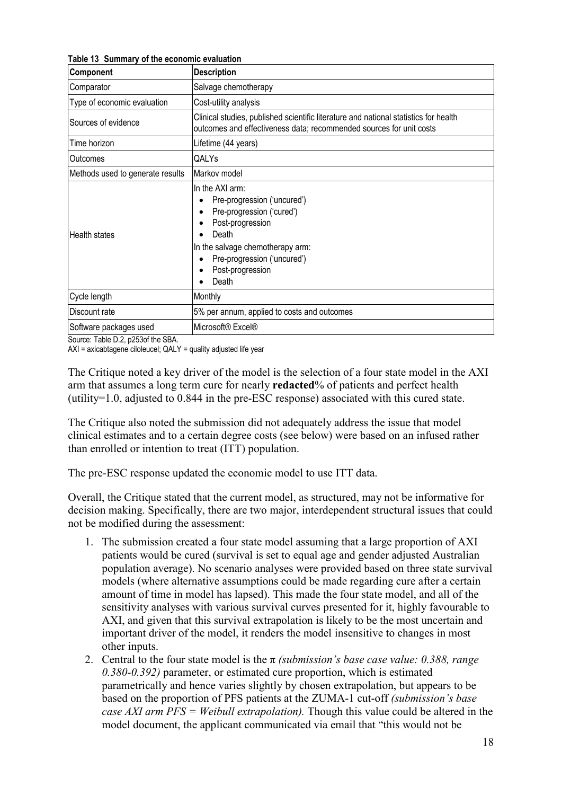**Table 13 Summary of the economic evaluation**

| Component                        | <b>Description</b>                                                                                                                                                                                       |  |  |  |  |  |
|----------------------------------|----------------------------------------------------------------------------------------------------------------------------------------------------------------------------------------------------------|--|--|--|--|--|
| Comparator                       | Salvage chemotherapy                                                                                                                                                                                     |  |  |  |  |  |
| Type of economic evaluation      | Cost-utility analysis                                                                                                                                                                                    |  |  |  |  |  |
| Sources of evidence              | Clinical studies, published scientific literature and national statistics for health<br>outcomes and effectiveness data; recommended sources for unit costs                                              |  |  |  |  |  |
| Time horizon                     | Lifetime (44 years)                                                                                                                                                                                      |  |  |  |  |  |
| <b>Outcomes</b>                  | QALYs                                                                                                                                                                                                    |  |  |  |  |  |
| Methods used to generate results | Markov model                                                                                                                                                                                             |  |  |  |  |  |
| <b>Health states</b>             | In the AXI arm:<br>Pre-progression ('uncured')<br>Pre-progression ('cured')<br>Post-progression<br>Death<br>In the salvage chemotherapy arm:<br>Pre-progression ('uncured')<br>Post-progression<br>Death |  |  |  |  |  |
| Cycle length                     | Monthly                                                                                                                                                                                                  |  |  |  |  |  |
| Discount rate                    | 5% per annum, applied to costs and outcomes                                                                                                                                                              |  |  |  |  |  |
| Software packages used           | Microsoft <sup>®</sup> Excel <sup>®</sup>                                                                                                                                                                |  |  |  |  |  |

Source: Table D.2, p253of the SBA.

AXI = axicabtagene ciloleucel; QALY = quality adjusted life year

The Critique noted a key driver of the model is the selection of a four state model in the AXI arm that assumes a long term cure for nearly **redacted**% of patients and perfect health (utility=1.0, adjusted to 0.844 in the pre-ESC response) associated with this cured state.

The Critique also noted the submission did not adequately address the issue that model clinical estimates and to a certain degree costs (see below) were based on an infused rather than enrolled or intention to treat (ITT) population.

The pre-ESC response updated the economic model to use ITT data.

Overall, the Critique stated that the current model, as structured, may not be informative for decision making. Specifically, there are two major, interdependent structural issues that could not be modified during the assessment:

- 1. The submission created a four state model assuming that a large proportion of AXI patients would be cured (survival is set to equal age and gender adjusted Australian population average). No scenario analyses were provided based on three state survival models (where alternative assumptions could be made regarding cure after a certain amount of time in model has lapsed). This made the four state model, and all of the sensitivity analyses with various survival curves presented for it, highly favourable to AXI, and given that this survival extrapolation is likely to be the most uncertain and important driver of the model, it renders the model insensitive to changes in most other inputs.
- 2. Central to the four state model is the π *(submission's base case value: 0.388, range 0.380-0.392)* parameter, or estimated cure proportion, which is estimated parametrically and hence varies slightly by chosen extrapolation, but appears to be based on the proportion of PFS patients at the ZUMA-1 cut-off *(submission's base case AXI arm PFS = Weibull extrapolation).* Though this value could be altered in the model document, the applicant communicated via email that "this would not be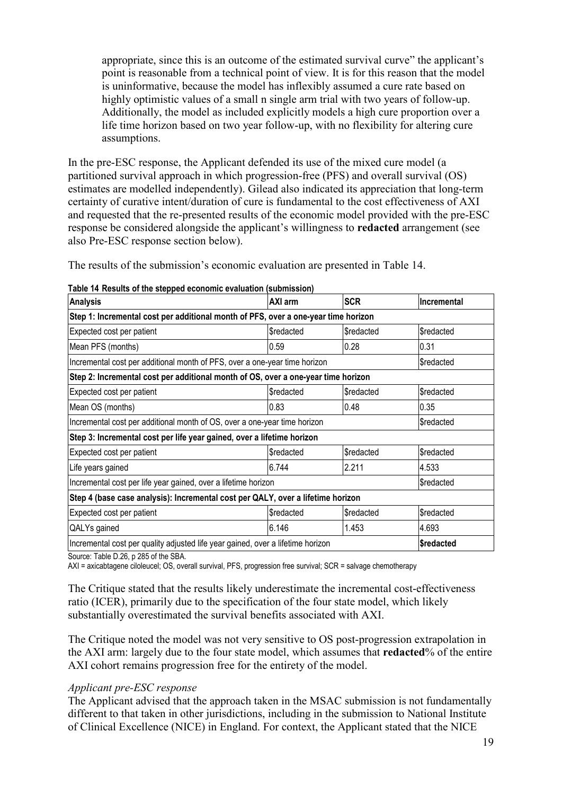appropriate, since this is an outcome of the estimated survival curve" the applicant's point is reasonable from a technical point of view. It is for this reason that the model is uninformative, because the model has inflexibly assumed a cure rate based on highly optimistic values of a small n single arm trial with two years of follow-up. Additionally, the model as included explicitly models a high cure proportion over a life time horizon based on two year follow-up, with no flexibility for altering cure assumptions.

In the pre-ESC response, the Applicant defended its use of the mixed cure model (a partitioned survival approach in which progression-free (PFS) and overall survival (OS) estimates are modelled independently). Gilead also indicated its appreciation that long-term certainty of curative intent/duration of cure is fundamental to the cost effectiveness of AXI and requested that the re-presented results of the economic model provided with the pre-ESC response be considered alongside the applicant's willingness to **redacted** arrangement (see also Pre-ESC response section below).

The results of the submission's economic evaluation are presented in Table 14.

| <b>Analysis</b>                                                                    | AXI arm     | <b>SCR</b>       | <b>Incremental</b> |  |  |
|------------------------------------------------------------------------------------|-------------|------------------|--------------------|--|--|
| Step 1: Incremental cost per additional month of PFS, over a one-year time horizon |             |                  |                    |  |  |
| Expected cost per patient                                                          | \$redacted  | \$redacted       | \$redacted         |  |  |
| Mean PFS (months)                                                                  | 0.59        | 0.28             | 0.31               |  |  |
| Incremental cost per additional month of PFS, over a one-year time horizon         |             |                  | Sredacted          |  |  |
| Step 2: Incremental cost per additional month of OS, over a one-year time horizon  |             |                  |                    |  |  |
| Expected cost per patient                                                          | \$redacted  | \$redacted       | \$redacted         |  |  |
| Mean OS (months)                                                                   | 0.83        | 0.48             | 0.35               |  |  |
| Incremental cost per additional month of OS, over a one-year time horizon          |             | Sredacted        |                    |  |  |
| Step 3: Incremental cost per life year gained, over a lifetime horizon             |             |                  |                    |  |  |
| Expected cost per patient                                                          | \$redacted  | <b>Sredacted</b> | <b>Sredacted</b>   |  |  |
| Life years gained                                                                  | 6.744       | 2.211            | 4.533              |  |  |
| Incremental cost per life year gained, over a lifetime horizon                     |             | Sredacted        |                    |  |  |
| Step 4 (base case analysis): Incremental cost per QALY, over a lifetime horizon    |             |                  |                    |  |  |
| Expected cost per patient                                                          | \$redacted  | \$redacted       | <b>Sredacted</b>   |  |  |
| QALYs gained                                                                       | 6.146       | 1.453            | 4.693              |  |  |
| Incremental cost per quality adjusted life year gained, over a lifetime horizon    | l\$redacted |                  |                    |  |  |

**Table 14 Results of the stepped economic evaluation (submission)**

Source: Table D.26, p 285 of the SBA.

AXI = axicabtagene ciloleucel; OS, overall survival, PFS, progression free survival; SCR = salvage chemotherapy

The Critique stated that the results likely underestimate the incremental cost-effectiveness ratio (ICER), primarily due to the specification of the four state model, which likely substantially overestimated the survival benefits associated with AXI.

The Critique noted the model was not very sensitive to OS post-progression extrapolation in the AXI arm: largely due to the four state model, which assumes that **redacted**% of the entire AXI cohort remains progression free for the entirety of the model.

#### *Applicant pre-ESC response*

The Applicant advised that the approach taken in the MSAC submission is not fundamentally different to that taken in other jurisdictions, including in the submission to National Institute of Clinical Excellence (NICE) in England. For context, the Applicant stated that the NICE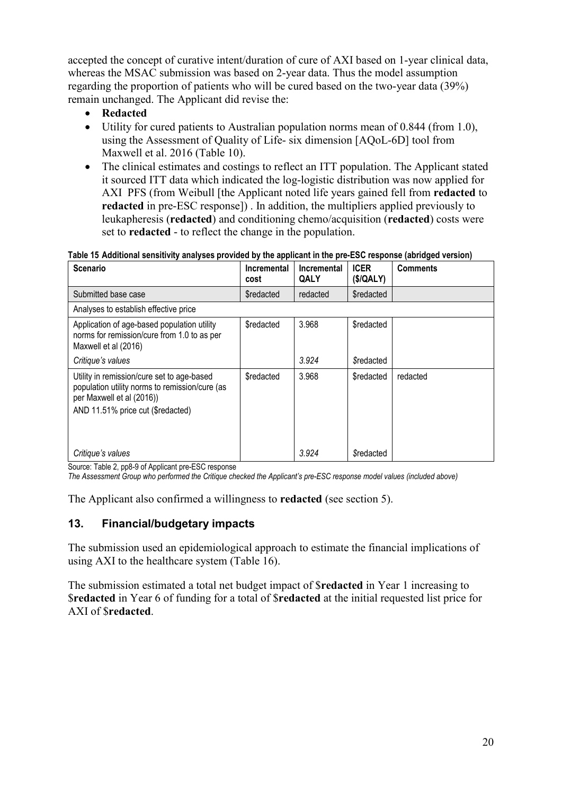accepted the concept of curative intent/duration of cure of AXI based on 1-year clinical data, whereas the MSAC submission was based on 2-year data. Thus the model assumption regarding the proportion of patients who will be cured based on the two-year data (39%) remain unchanged. The Applicant did revise the:

- **Redacted**
- Utility for cured patients to Australian population norms mean of 0.844 (from 1.0), using the Assessment of Quality of Life- six dimension [AQoL-6D] tool from Maxwell et al. 2016 (Table 10).
- The clinical estimates and costings to reflect an ITT population. The Applicant stated it sourced ITT data which indicated the log-logistic distribution was now applied for AXI PFS (from Weibull [the Applicant noted life years gained fell from **redacted** to **redacted** in pre-ESC response]) . In addition, the multipliers applied previously to leukapheresis (**redacted**) and conditioning chemo/acquisition (**redacted**) costs were set to **redacted** - to reflect the change in the population.

**Table 15 Additional sensitivity analyses provided by the applicant in the pre-ESC response (abridged version)**

| <b>Scenario</b>                                                                                                                                                | Incremental<br>cost | Incremental<br>QALY | <b>ICER</b><br>(S/QALY) | <b>Comments</b> |
|----------------------------------------------------------------------------------------------------------------------------------------------------------------|---------------------|---------------------|-------------------------|-----------------|
| Submitted base case                                                                                                                                            | <b>Sredacted</b>    | redacted            | <b>Sredacted</b>        |                 |
| Analyses to establish effective price                                                                                                                          |                     |                     |                         |                 |
| Application of age-based population utility<br>norms for remission/cure from 1.0 to as per<br>Maxwell et al (2016)                                             | <b>Sredacted</b>    | 3.968               | <b>Sredacted</b>        |                 |
| Critique's values                                                                                                                                              |                     | 3.924               | <b>Sredacted</b>        |                 |
| Utility in remission/cure set to age-based<br>population utility norms to remission/cure (as<br>per Maxwell et al (2016))<br>AND 11.51% price cut (\$redacted) | <b>Sredacted</b>    | 3.968               | <b>Sredacted</b>        | redacted        |
| Critique's values                                                                                                                                              |                     | 3.924               | <b>Sredacted</b>        |                 |

Source: Table 2, pp8-9 of Applicant pre-ESC response

*The Assessment Group who performed the Critique checked the Applicant's pre-ESC response model values (included above)*

The Applicant also confirmed a willingness to **redacted** (see section 5).

# **13. Financial/budgetary impacts**

The submission used an epidemiological approach to estimate the financial implications of using AXI to the healthcare system (Table 16).

The submission estimated a total net budget impact of \$**redacted** in Year 1 increasing to \$**redacted** in Year 6 of funding for a total of \$**redacted** at the initial requested list price for AXI of \$**redacted**.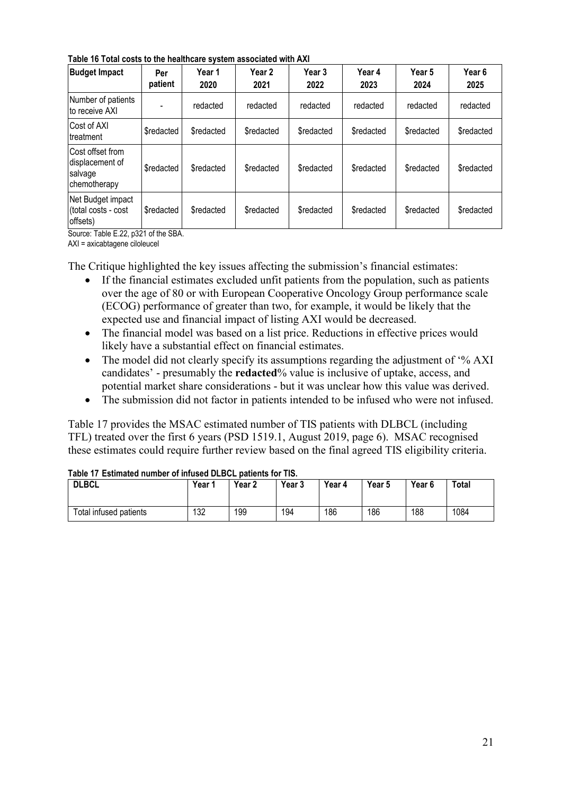**Table 16 Total costs to the healthcare system associated with AXI**

| <b>Budget Impact</b>                                                   | Per<br>patient   | Year 1<br>2020   | Year 2<br>2021   | Year <sub>3</sub><br>2022 | Year 4<br>2023   | Year 5<br>2024   | Year <sub>6</sub><br>2025 |
|------------------------------------------------------------------------|------------------|------------------|------------------|---------------------------|------------------|------------------|---------------------------|
| Number of patients<br>lto receive AXI                                  |                  | redacted         | redacted         | redacted                  | redacted         | redacted         | redacted                  |
| ICost of AXI<br>Itreatment                                             | \$redacted       | <b>Sredacted</b> | <b>Sredacted</b> | <b>Sredacted</b>          | <b>Sredacted</b> | <b>Sredacted</b> | <b>Sredacted</b>          |
| <b>ICost offset from</b><br>displacement of<br>salvage<br>chemotherapy | <b>Sredacted</b> | \$redacted       | <b>Sredacted</b> | <b>Sredacted</b>          | \$redacted       | <b>Sredacted</b> | <b>Sredacted</b>          |
| Net Budget impact<br>(total costs - cost<br>offsets)                   | <b>Sredacted</b> | <b>Sredacted</b> | <b>Sredacted</b> | \$redacted                | <b>Sredacted</b> | \$redacted       | <b>Sredacted</b>          |

Source: Table E.22, p321 of the SBA.

AXI = axicabtagene ciloleucel

The Critique highlighted the key issues affecting the submission's financial estimates:

- If the financial estimates excluded unfit patients from the population, such as patients over the age of 80 or with European Cooperative Oncology Group performance scale (ECOG) performance of greater than two, for example, it would be likely that the expected use and financial impact of listing AXI would be decreased.
- The financial model was based on a list price. Reductions in effective prices would likely have a substantial effect on financial estimates.
- The model did not clearly specify its assumptions regarding the adjustment of '% AXI candidates' - presumably the **redacted**% value is inclusive of uptake, access, and potential market share considerations - but it was unclear how this value was derived.
- The submission did not factor in patients intended to be infused who were not infused.

Table 17 provides the MSAC estimated number of TIS patients with DLBCL (including TFL) treated over the first 6 years (PSD 1519.1, August 2019, page 6). MSAC recognised these estimates could require further review based on the final agreed TIS eligibility criteria.

| $\frac{1}{2}$ able the LSUINAL CULTUMER OF INTUSED DEDUCT DATICITIES TOP THOM<br><b>DLBCL</b> | Year 1 | Year 2 | Year 3 | Year 4 | Year 5 | Year 6 | Total |
|-----------------------------------------------------------------------------------------------|--------|--------|--------|--------|--------|--------|-------|
| Total infused patients                                                                        | 132    | 199    | 194    | 186    | 186    | 188    | 1084  |

#### **Table 17 Estimated number of infused DLBCL patients for TIS.**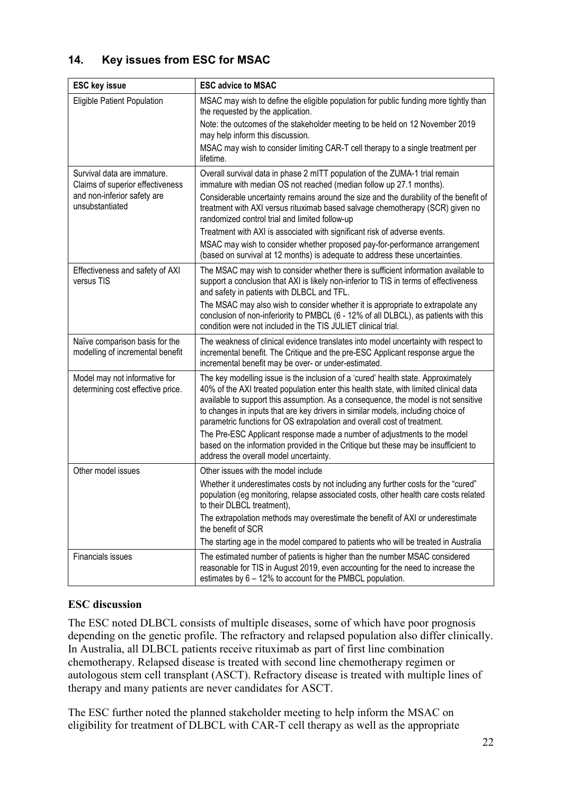# **14. Key issues from ESC for MSAC**

| <b>ESC key issue</b>                                               | <b>ESC advice to MSAC</b>                                                                                                                                                                                                                                                                                                                                                                                                                                                                                                                                                                                                                    |
|--------------------------------------------------------------------|----------------------------------------------------------------------------------------------------------------------------------------------------------------------------------------------------------------------------------------------------------------------------------------------------------------------------------------------------------------------------------------------------------------------------------------------------------------------------------------------------------------------------------------------------------------------------------------------------------------------------------------------|
| Eligible Patient Population                                        | MSAC may wish to define the eligible population for public funding more tightly than<br>the requested by the application.                                                                                                                                                                                                                                                                                                                                                                                                                                                                                                                    |
|                                                                    | Note: the outcomes of the stakeholder meeting to be held on 12 November 2019<br>may help inform this discussion.                                                                                                                                                                                                                                                                                                                                                                                                                                                                                                                             |
|                                                                    | MSAC may wish to consider limiting CAR-T cell therapy to a single treatment per<br>lifetime.                                                                                                                                                                                                                                                                                                                                                                                                                                                                                                                                                 |
| Survival data are immature.<br>Claims of superior effectiveness    | Overall survival data in phase 2 mITT population of the ZUMA-1 trial remain<br>immature with median OS not reached (median follow up 27.1 months).                                                                                                                                                                                                                                                                                                                                                                                                                                                                                           |
| and non-inferior safety are<br>unsubstantiated                     | Considerable uncertainty remains around the size and the durability of the benefit of<br>treatment with AXI versus rituximab based salvage chemotherapy (SCR) given no<br>randomized control trial and limited follow-up                                                                                                                                                                                                                                                                                                                                                                                                                     |
|                                                                    | Treatment with AXI is associated with significant risk of adverse events.                                                                                                                                                                                                                                                                                                                                                                                                                                                                                                                                                                    |
|                                                                    | MSAC may wish to consider whether proposed pay-for-performance arrangement<br>(based on survival at 12 months) is adequate to address these uncertainties.                                                                                                                                                                                                                                                                                                                                                                                                                                                                                   |
| Effectiveness and safety of AXI<br>versus TIS                      | The MSAC may wish to consider whether there is sufficient information available to<br>support a conclusion that AXI is likely non-inferior to TIS in terms of effectiveness<br>and safety in patients with DLBCL and TFL.                                                                                                                                                                                                                                                                                                                                                                                                                    |
|                                                                    | The MSAC may also wish to consider whether it is appropriate to extrapolate any<br>conclusion of non-inferiority to PMBCL (6 - 12% of all DLBCL), as patients with this<br>condition were not included in the TIS JULIET clinical trial.                                                                                                                                                                                                                                                                                                                                                                                                     |
| Naïve comparison basis for the<br>modelling of incremental benefit | The weakness of clinical evidence translates into model uncertainty with respect to<br>incremental benefit. The Critique and the pre-ESC Applicant response argue the<br>incremental benefit may be over- or under-estimated.                                                                                                                                                                                                                                                                                                                                                                                                                |
| Model may not informative for<br>determining cost effective price. | The key modelling issue is the inclusion of a 'cured' health state. Approximately<br>40% of the AXI treated population enter this health state, with limited clinical data<br>available to support this assumption. As a consequence, the model is not sensitive<br>to changes in inputs that are key drivers in similar models, including choice of<br>parametric functions for OS extrapolation and overall cost of treatment.<br>The Pre-ESC Applicant response made a number of adjustments to the model<br>based on the information provided in the Critique but these may be insufficient to<br>address the overall model uncertainty. |
| Other model issues                                                 | Other issues with the model include                                                                                                                                                                                                                                                                                                                                                                                                                                                                                                                                                                                                          |
|                                                                    | Whether it underestimates costs by not including any further costs for the "cured"<br>population (eg monitoring, relapse associated costs, other health care costs related<br>to their DLBCL treatment),                                                                                                                                                                                                                                                                                                                                                                                                                                     |
|                                                                    | The extrapolation methods may overestimate the benefit of AXI or underestimate<br>the benefit of SCR                                                                                                                                                                                                                                                                                                                                                                                                                                                                                                                                         |
|                                                                    | The starting age in the model compared to patients who will be treated in Australia                                                                                                                                                                                                                                                                                                                                                                                                                                                                                                                                                          |
| Financials issues                                                  | The estimated number of patients is higher than the number MSAC considered<br>reasonable for TIS in August 2019, even accounting for the need to increase the<br>estimates by 6 - 12% to account for the PMBCL population.                                                                                                                                                                                                                                                                                                                                                                                                                   |

# **ESC discussion**

The ESC noted DLBCL consists of multiple diseases, some of which have poor prognosis depending on the genetic profile. The refractory and relapsed population also differ clinically. In Australia, all DLBCL patients receive rituximab as part of first line combination chemotherapy. Relapsed disease is treated with second line chemotherapy regimen or autologous stem cell transplant (ASCT). Refractory disease is treated with multiple lines of therapy and many patients are never candidates for ASCT.

The ESC further noted the planned stakeholder meeting to help inform the MSAC on eligibility for treatment of DLBCL with CAR-T cell therapy as well as the appropriate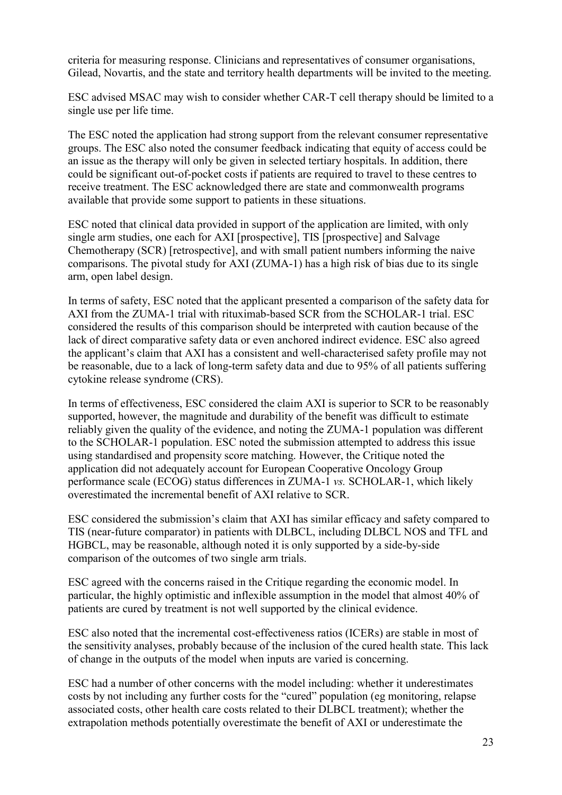criteria for measuring response. Clinicians and representatives of consumer organisations, Gilead, Novartis, and the state and territory health departments will be invited to the meeting.

ESC advised MSAC may wish to consider whether CAR-T cell therapy should be limited to a single use per life time.

The ESC noted the application had strong support from the relevant consumer representative groups. The ESC also noted the consumer feedback indicating that equity of access could be an issue as the therapy will only be given in selected tertiary hospitals. In addition, there could be significant out-of-pocket costs if patients are required to travel to these centres to receive treatment. The ESC acknowledged there are state and commonwealth programs available that provide some support to patients in these situations.

ESC noted that clinical data provided in support of the application are limited, with only single arm studies, one each for AXI [prospective], TIS [prospective] and Salvage Chemotherapy (SCR) [retrospective], and with small patient numbers informing the naive comparisons. The pivotal study for AXI (ZUMA-1) has a high risk of bias due to its single arm, open label design.

In terms of safety, ESC noted that the applicant presented a comparison of the safety data for AXI from the ZUMA-1 trial with rituximab-based SCR from the SCHOLAR-1 trial. ESC considered the results of this comparison should be interpreted with caution because of the lack of direct comparative safety data or even anchored indirect evidence. ESC also agreed the applicant's claim that AXI has a consistent and well-characterised safety profile may not be reasonable, due to a lack of long-term safety data and due to 95% of all patients suffering cytokine release syndrome (CRS).

In terms of effectiveness, ESC considered the claim AXI is superior to SCR to be reasonably supported, however, the magnitude and durability of the benefit was difficult to estimate reliably given the quality of the evidence, and noting the ZUMA-1 population was different to the SCHOLAR-1 population. ESC noted the submission attempted to address this issue using standardised and propensity score matching. However, the Critique noted the application did not adequately account for European Cooperative Oncology Group performance scale (ECOG) status differences in ZUMA-1 *vs.* SCHOLAR-1, which likely overestimated the incremental benefit of AXI relative to SCR.

ESC considered the submission's claim that AXI has similar efficacy and safety compared to TIS (near-future comparator) in patients with DLBCL, including DLBCL NOS and TFL and HGBCL, may be reasonable, although noted it is only supported by a side-by-side comparison of the outcomes of two single arm trials.

ESC agreed with the concerns raised in the Critique regarding the economic model. In particular, the highly optimistic and inflexible assumption in the model that almost 40% of patients are cured by treatment is not well supported by the clinical evidence.

ESC also noted that the incremental cost-effectiveness ratios (ICERs) are stable in most of the sensitivity analyses, probably because of the inclusion of the cured health state. This lack of change in the outputs of the model when inputs are varied is concerning.

ESC had a number of other concerns with the model including: whether it underestimates costs by not including any further costs for the "cured" population (eg monitoring, relapse associated costs, other health care costs related to their DLBCL treatment); whether the extrapolation methods potentially overestimate the benefit of AXI or underestimate the